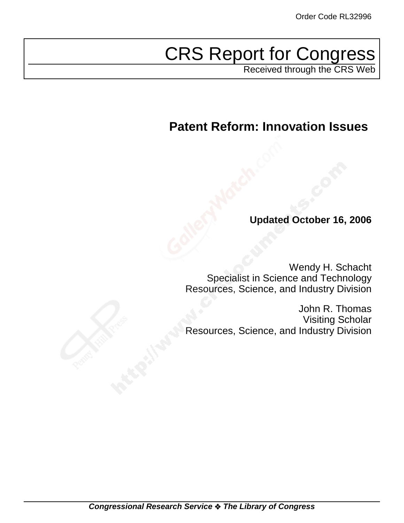# CRS Report for Congress

Received through the CRS Web

# **Patent Reform: Innovation Issues**

# **Updated October 16, 2006**

Wendy H. Schacht Specialist in Science and Technology Resources, Science, and Industry Division

John R. Thomas Visiting Scholar Resources, Science, and Industry Division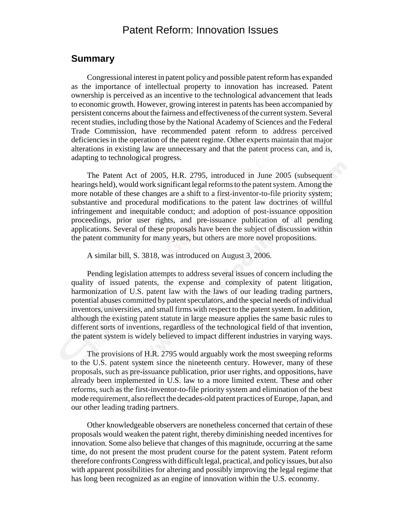# Patent Reform: Innovation Issues

# **Summary**

Congressional interest in patent policy and possible patent reform has expanded as the importance of intellectual property to innovation has increased. Patent ownership is perceived as an incentive to the technological advancement that leads to economic growth. However, growing interest in patents has been accompanied by persistent concerns about the fairness and effectiveness of the current system. Several recent studies, including those by the National Academy of Sciences and the Federal Trade Commission, have recommended patent reform to address perceived deficiencies in the operation of the patent regime. Other experts maintain that major alterations in existing law are unnecessary and that the patent process can, and is, adapting to technological progress.

The Patent Act of 2005, H.R. 2795, introduced in June 2005 (subsequent hearings held), would work significant legal reforms to the patent system. Among the more notable of these changes are a shift to a first-inventor-to-file priority system; substantive and procedural modifications to the patent law doctrines of willful infringement and inequitable conduct; and adoption of post-issuance opposition proceedings, prior user rights, and pre-issuance publication of all pending applications. Several of these proposals have been the subject of discussion within the patent community for many years, but others are more novel propositions.

A similar bill, S. 3818, was introduced on August 3, 2006.

Pending legislation attempts to address several issues of concern including the quality of issued patents, the expense and complexity of patent litigation, harmonization of U.S. patent law with the laws of our leading trading partners, potential abuses committed by patent speculators, and the special needs of individual inventors, universities, and small firms with respect to the patent system. In addition, although the existing patent statute in large measure applies the same basic rules to different sorts of inventions, regardless of the technological field of that invention, the patent system is widely believed to impact different industries in varying ways.

The provisions of H.R. 2795 would arguably work the most sweeping reforms to the U.S. patent system since the nineteenth century. However, many of these proposals, such as pre-issuance publication, prior user rights, and oppositions, have already been implemented in U.S. law to a more limited extent. These and other reforms, such as the first-inventor-to-file priority system and elimination of the best mode requirement, also reflect the decades-old patent practices of Europe, Japan, and our other leading trading partners.

Other knowledgeable observers are nonetheless concerned that certain of these proposals would weaken the patent right, thereby diminishing needed incentives for innovation. Some also believe that changes of this magnitude, occurring at the same time, do not present the most prudent course for the patent system. Patent reform therefore confronts Congress with difficult legal, practical, and policy issues, but also with apparent possibilities for altering and possibly improving the legal regime that has long been recognized as an engine of innovation within the U.S. economy.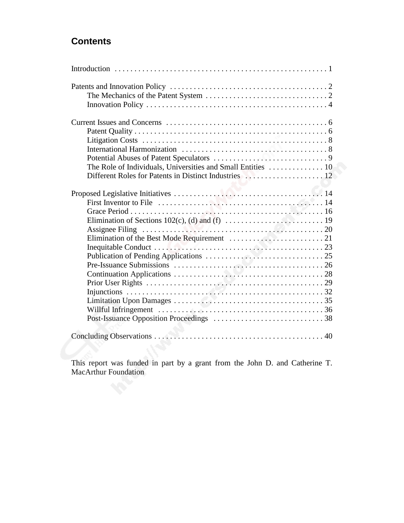# **Contents**

This report was funded in part by a grant from the John D. and Catherine T. MacArthur Foundation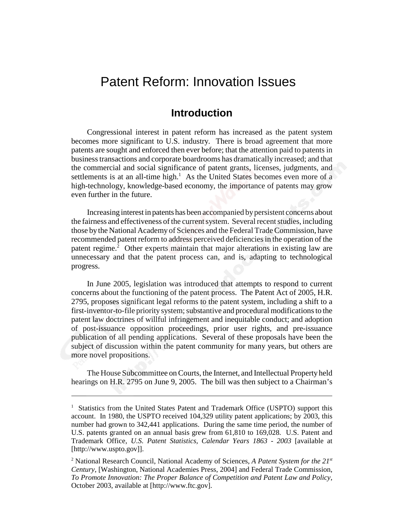# Patent Reform: Innovation Issues

# **Introduction**

Congressional interest in patent reform has increased as the patent system becomes more significant to U.S. industry. There is broad agreement that more patents are sought and enforced then ever before; that the attention paid to patents in business transactions and corporate boardrooms has dramatically increased; and that the commercial and social significance of patent grants, licenses, judgments, and settlements is at an all-time high. $<sup>1</sup>$  As the United States becomes even more of a</sup> high-technology, knowledge-based economy, the importance of patents may grow even further in the future.

Increasing interest in patents has been accompanied by persistent concerns about the fairness and effectiveness of the current system. Several recent studies, including those by the National Academy of Sciences and the Federal Trade Commission, have recommended patent reform to address perceived deficiencies in the operation of the patent regime.<sup>2</sup> Other experts maintain that major alterations in existing law are unnecessary and that the patent process can, and is, adapting to technological progress.

In June 2005, legislation was introduced that attempts to respond to current concerns about the functioning of the patent process. The Patent Act of 2005, H.R. 2795, proposes significant legal reforms to the patent system, including a shift to a first-inventor-to-file priority system; substantive and procedural modifications to the patent law doctrines of willful infringement and inequitable conduct; and adoption of post-issuance opposition proceedings, prior user rights, and pre-issuance publication of all pending applications. Several of these proposals have been the subject of discussion within the patent community for many years, but others are more novel propositions.

The House Subcommittee on Courts, the Internet, and Intellectual Property held hearings on H.R. 2795 on June 9, 2005. The bill was then subject to a Chairman's

<sup>&</sup>lt;sup>1</sup> Statistics from the United States Patent and Trademark Office (USPTO) support this account. In 1980, the USPTO received 104,329 utility patent applications; by 2003, this number had grown to 342,441 applications. During the same time period, the number of U.S. patents granted on an annual basis grew from 61,810 to 169,028. U.S. Patent and Trademark Office, *U.S. Patent Statistics, Calendar Years 1863 - 2003* [available at [http://www.uspto.gov]].

<sup>&</sup>lt;sup>2</sup> National Research Council, National Academy of Sciences, *A Patent System for the 21st Century*, [Washington, National Academies Press, 2004] and Federal Trade Commission, *To Promote Innovation: The Proper Balance of Competition and Patent Law and Policy*, October 2003, available at [http://www.ftc.gov].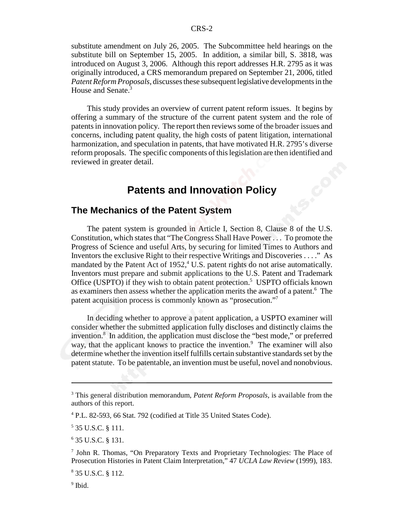substitute amendment on July 26, 2005. The Subcommittee held hearings on the substitute bill on September 15, 2005. In addition, a similar bill, S. 3818, was introduced on August 3, 2006. Although this report addresses H.R. 2795 as it was originally introduced, a CRS memorandum prepared on September 21, 2006, titled *Patent Reform Proposals*, discusses these subsequent legislative developments in the House and Senate.<sup>3</sup>

This study provides an overview of current patent reform issues. It begins by offering a summary of the structure of the current patent system and the role of patents in innovation policy. The report then reviews some of the broader issues and concerns, including patent quality, the high costs of patent litigation, international harmonization, and speculation in patents, that have motivated H.R. 2795's diverse reform proposals. The specific components of this legislation are then identified and reviewed in greater detail.

# **Patents and Innovation Policy**

# **The Mechanics of the Patent System**

The patent system is grounded in Article I, Section 8, Clause 8 of the U.S. Constitution, which states that "The Congress Shall Have Power . . . To promote the Progress of Science and useful Arts, by securing for limited Times to Authors and Inventors the exclusive Right to their respective Writings and Discoveries . . . ." As mandated by the Patent Act of 1952,<sup>4</sup> U.S. patent rights do not arise automatically. Inventors must prepare and submit applications to the U.S. Patent and Trademark Office (USPTO) if they wish to obtain patent protection.<sup>5</sup> USPTO officials known as examiners then assess whether the application merits the award of a patent.<sup>6</sup> The patent acquisition process is commonly known as "prosecution."7

In deciding whether to approve a patent application, a USPTO examiner will consider whether the submitted application fully discloses and distinctly claims the invention.<sup>8</sup> In addition, the application must disclose the "best mode," or preferred way, that the applicant knows to practice the invention.<sup>9</sup> The examiner will also determine whether the invention itself fulfills certain substantive standards set by the patent statute. To be patentable, an invention must be useful, novel and nonobvious.

<sup>3</sup> This general distribution memorandum, *Patent Reform Proposals*, is available from the authors of this report.

<sup>4</sup> P.L. 82-593, 66 Stat. 792 (codified at Title 35 United States Code).

<sup>5</sup> 35 U.S.C. § 111.

<sup>6</sup> 35 U.S.C. § 131.

<sup>&</sup>lt;sup>7</sup> John R. Thomas, "On Preparatory Texts and Proprietary Technologies: The Place of Prosecution Histories in Patent Claim Interpretation," 47 *UCLA Law Review* (1999), 183.

<sup>8</sup> 35 U.S.C. § 112.

<sup>&</sup>lt;sup>9</sup> Ibid.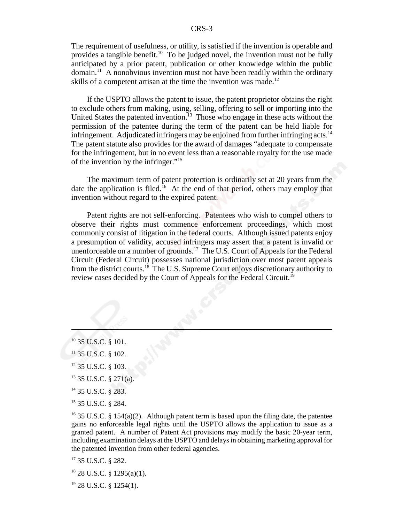The requirement of usefulness, or utility, is satisfied if the invention is operable and provides a tangible benefit.<sup>10</sup> To be judged novel, the invention must not be fully anticipated by a prior patent, publication or other knowledge within the public domain.<sup>11</sup> A nonobvious invention must not have been readily within the ordinary skills of a competent artisan at the time the invention was made.<sup>12</sup>

If the USPTO allows the patent to issue, the patent proprietor obtains the right to exclude others from making, using, selling, offering to sell or importing into the United States the patented invention.<sup>13</sup> Those who engage in these acts without the permission of the patentee during the term of the patent can be held liable for infringement. Adjudicated infringers may be enjoined from further infringing acts.<sup>14</sup> The patent statute also provides for the award of damages "adequate to compensate for the infringement, but in no event less than a reasonable royalty for the use made of the invention by the infringer."15

The maximum term of patent protection is ordinarily set at 20 years from the date the application is filed.<sup>16</sup> At the end of that period, others may employ that invention without regard to the expired patent.

Patent rights are not self-enforcing. Patentees who wish to compel others to observe their rights must commence enforcement proceedings, which most commonly consist of litigation in the federal courts. Although issued patents enjoy a presumption of validity, accused infringers may assert that a patent is invalid or unenforceable on a number of grounds.<sup>17</sup> The U.S. Court of Appeals for the Federal Circuit (Federal Circuit) possesses national jurisdiction over most patent appeals from the district courts.18 The U.S. Supreme Court enjoys discretionary authority to review cases decided by the Court of Appeals for the Federal Circuit.19

- 13 35 U.S.C. § 271(a).
- 14 35 U.S.C. § 283.
- 15 35 U.S.C. § 284.

<sup>16</sup> 35 U.S.C. § 154(a)(2). Although patent term is based upon the filing date, the patentee gains no enforceable legal rights until the USPTO allows the application to issue as a granted patent. A number of Patent Act provisions may modify the basic 20-year term, including examination delays at the USPTO and delays in obtaining marketing approval for the patented invention from other federal agencies.

<sup>17</sup> 35 U.S.C. § 282.

 $18$  28 U.S.C. § 1295(a)(1).

 $19$  28 U.S.C. § 1254(1).

<sup>&</sup>lt;sup>10</sup> 35 U.S.C. § 101.

 $11$  35 U.S.C. § 102.

<sup>12 35</sup> U.S.C. § 103.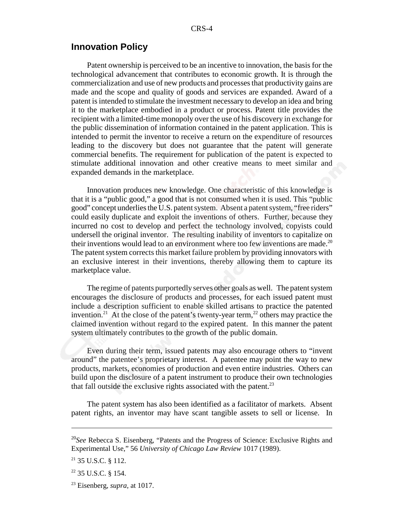# **Innovation Policy**

Patent ownership is perceived to be an incentive to innovation, the basis for the technological advancement that contributes to economic growth. It is through the commercialization and use of new products and processes that productivity gains are made and the scope and quality of goods and services are expanded. Award of a patent is intended to stimulate the investment necessary to develop an idea and bring it to the marketplace embodied in a product or process. Patent title provides the recipient with a limited-time monopoly over the use of his discovery in exchange for the public dissemination of information contained in the patent application. This is intended to permit the inventor to receive a return on the expenditure of resources leading to the discovery but does not guarantee that the patent will generate commercial benefits. The requirement for publication of the patent is expected to stimulate additional innovation and other creative means to meet similar and expanded demands in the marketplace.

Innovation produces new knowledge. One characteristic of this knowledge is that it is a "public good," a good that is not consumed when it is used. This "public good" concept underlies the U.S. patent system. Absent a patent system, "free riders" could easily duplicate and exploit the inventions of others. Further, because they incurred no cost to develop and perfect the technology involved, copyists could undersell the original inventor. The resulting inability of inventors to capitalize on their inventions would lead to an environment where too few inventions are made.<sup>20</sup> The patent system corrects this market failure problem by providing innovators with an exclusive interest in their inventions, thereby allowing them to capture its marketplace value.

The regime of patents purportedly serves other goals as well. The patent system encourages the disclosure of products and processes, for each issued patent must include a description sufficient to enable skilled artisans to practice the patented invention.<sup>21</sup> At the close of the patent's twenty-year term,<sup>22</sup> others may practice the claimed invention without regard to the expired patent. In this manner the patent system ultimately contributes to the growth of the public domain.

Even during their term, issued patents may also encourage others to "invent around" the patentee's proprietary interest. A patentee may point the way to new products, markets, economies of production and even entire industries. Others can build upon the disclosure of a patent instrument to produce their own technologies that fall outside the exclusive rights associated with the patent.<sup>23</sup>

The patent system has also been identified as a facilitator of markets. Absent patent rights, an inventor may have scant tangible assets to sell or license. In

<sup>20</sup>*See* Rebecca S. Eisenberg, "Patents and the Progress of Science: Exclusive Rights and Experimental Use," 56 *University of Chicago Law Review* 1017 (1989).

<sup>21 35</sup> U.S.C. § 112.

 $22$  35 U.S.C. § 154.

<sup>23</sup> Eisenberg, *supra,* at 1017.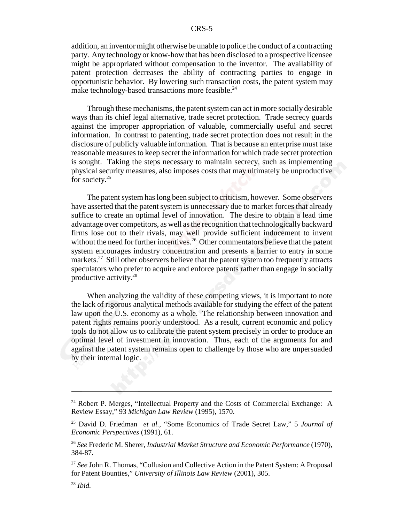addition, an inventor might otherwise be unable to police the conduct of a contracting party. Any technology or know-how that has been disclosed to a prospective licensee might be appropriated without compensation to the inventor. The availability of patent protection decreases the ability of contracting parties to engage in opportunistic behavior. By lowering such transaction costs, the patent system may make technology-based transactions more feasible.<sup>24</sup>

Through these mechanisms, the patent system can act in more socially desirable ways than its chief legal alternative, trade secret protection. Trade secrecy guards against the improper appropriation of valuable, commercially useful and secret information. In contrast to patenting, trade secret protection does not result in the disclosure of publicly valuable information. That is because an enterprise must take reasonable measures to keep secret the information for which trade secret protection is sought. Taking the steps necessary to maintain secrecy, such as implementing physical security measures, also imposes costs that may ultimately be unproductive for society.<sup>25</sup>

The patent system has long been subject to criticism, however. Some observers have asserted that the patent system is unnecessary due to market forces that already suffice to create an optimal level of innovation. The desire to obtain a lead time advantage over competitors, as well as the recognition that technologically backward firms lose out to their rivals, may well provide sufficient inducement to invent without the need for further incentives.<sup>26</sup> Other commentators believe that the patent system encourages industry concentration and presents a barrier to entry in some markets.<sup>27</sup> Still other observers believe that the patent system too frequently attracts speculators who prefer to acquire and enforce patents rather than engage in socially productive activity.28

When analyzing the validity of these competing views, it is important to note the lack of rigorous analytical methods available for studying the effect of the patent law upon the U.S. economy as a whole. The relationship between innovation and patent rights remains poorly understood. As a result, current economic and policy tools do not allow us to calibrate the patent system precisely in order to produce an optimal level of investment in innovation. Thus, each of the arguments for and against the patent system remains open to challenge by those who are unpersuaded by their internal logic.

<sup>&</sup>lt;sup>24</sup> Robert P. Merges, "Intellectual Property and the Costs of Commercial Exchange: A Review Essay," 93 *Michigan Law Review* (1995), 1570.

<sup>25</sup> David D. Friedman *et al.*, "Some Economics of Trade Secret Law," 5 *Journal of Economic Perspectives* (1991), 61.

<sup>26</sup> *See* Frederic M. Sherer, *Industrial Market Structure and Economic Performance* (1970), 384-87.

<sup>&</sup>lt;sup>27</sup> See John R. Thomas, "Collusion and Collective Action in the Patent System: A Proposal for Patent Bounties," *University of Illinois Law Review* (2001), 305.

<sup>28</sup> *Ibid.*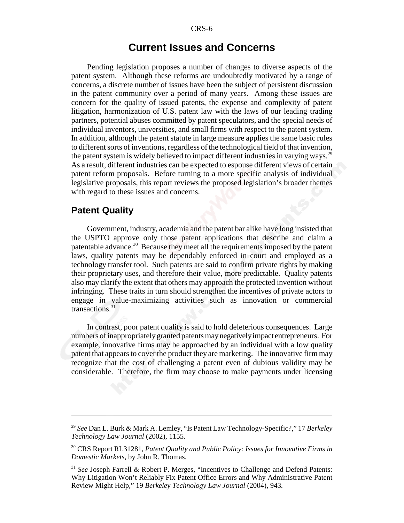# **Current Issues and Concerns**

Pending legislation proposes a number of changes to diverse aspects of the patent system. Although these reforms are undoubtedly motivated by a range of concerns, a discrete number of issues have been the subject of persistent discussion in the patent community over a period of many years. Among these issues are concern for the quality of issued patents, the expense and complexity of patent litigation, harmonization of U.S. patent law with the laws of our leading trading partners, potential abuses committed by patent speculators, and the special needs of individual inventors, universities, and small firms with respect to the patent system. In addition, although the patent statute in large measure applies the same basic rules to different sorts of inventions, regardless of the technological field of that invention, the patent system is widely believed to impact different industries in varying ways.<sup>29</sup> As a result, different industries can be expected to espouse different views of certain patent reform proposals. Before turning to a more specific analysis of individual legislative proposals, this report reviews the proposed legislation's broader themes with regard to these issues and concerns.

#### **Patent Quality**

Government, industry, academia and the patent bar alike have long insisted that the USPTO approve only those patent applications that describe and claim a patentable advance.<sup>30</sup> Because they meet all the requirements imposed by the patent laws, quality patents may be dependably enforced in court and employed as a technology transfer tool. Such patents are said to confirm private rights by making their proprietary uses, and therefore their value, more predictable. Quality patents also may clarify the extent that others may approach the protected invention without infringing. These traits in turn should strengthen the incentives of private actors to engage in value-maximizing activities such as innovation or commercial transactions.31

In contrast, poor patent quality is said to hold deleterious consequences. Large numbers of inappropriately granted patents may negatively impact entrepreneurs. For example, innovative firms may be approached by an individual with a low quality patent that appears to cover the product they are marketing. The innovative firm may recognize that the cost of challenging a patent even of dubious validity may be considerable. Therefore, the firm may choose to make payments under licensing

<sup>29</sup> *See* Dan L. Burk & Mark A. Lemley, "Is Patent Law Technology-Specific?," 17 *Berkeley Technology Law Journal* (2002), 1155.

<sup>30</sup> CRS Report RL31281, *Patent Quality and Public Policy: Issues for Innovative Firms in Domestic Markets*, by John R. Thomas.

<sup>31</sup> *See* Joseph Farrell & Robert P. Merges, "Incentives to Challenge and Defend Patents: Why Litigation Won't Reliably Fix Patent Office Errors and Why Administrative Patent Review Might Help," 19 *Berkeley Technology Law Journal* (2004), 943*.*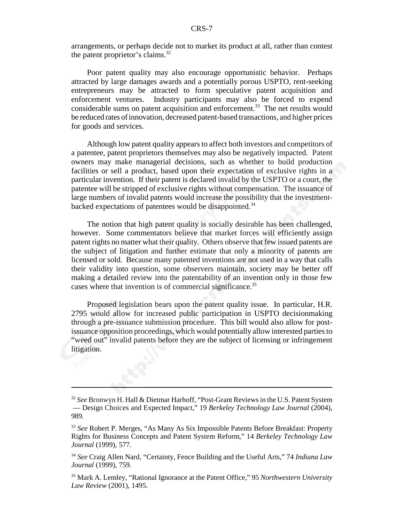arrangements, or perhaps decide not to market its product at all, rather than contest the patent proprietor's claims. $^{32}$ 

Poor patent quality may also encourage opportunistic behavior. Perhaps attracted by large damages awards and a potentially porous USPTO, rent-seeking entrepreneurs may be attracted to form speculative patent acquisition and enforcement ventures. Industry participants may also be forced to expend considerable sums on patent acquisition and enforcement.<sup>33</sup> The net results would be reduced rates of innovation, decreased patent-based transactions, and higher prices for goods and services.

Although low patent quality appears to affect both investors and competitors of a patentee, patent proprietors themselves may also be negatively impacted. Patent owners may make managerial decisions, such as whether to build production facilities or sell a product, based upon their expectation of exclusive rights in a particular invention. If their patent is declared invalid by the USPTO or a court, the patentee will be stripped of exclusive rights without compensation. The issuance of large numbers of invalid patents would increase the possibility that the investmentbacked expectations of patentees would be disappointed.<sup>34</sup>

The notion that high patent quality is socially desirable has been challenged, however. Some commentators believe that market forces will efficiently assign patent rights no matter what their quality. Others observe that few issued patents are the subject of litigation and further estimate that only a minority of patents are licensed or sold. Because many patented inventions are not used in a way that calls their validity into question, some observers maintain, society may be better off making a detailed review into the patentability of an invention only in those few cases where that invention is of commercial significance.<sup>35</sup>

Proposed legislation bears upon the patent quality issue. In particular, H.R. 2795 would allow for increased public participation in USPTO decisionmaking through a pre-issuance submission procedure. This bill would also allow for postissuance opposition proceedings, which would potentially allow interested parties to "weed out" invalid patents before they are the subject of licensing or infringement litigation.

<sup>32</sup> *See* Bronwyn H. Hall & Dietmar Harhoff, "Post-Grant Reviews in the U.S. Patent System — Design Choices and Expected Impact," 19 *Berkeley Technology Law Journal* (2004), 989*.*

<sup>33</sup> *See* Robert P. Merges, "As Many As Six Impossible Patents Before Breakfast: Property Rights for Business Concepts and Patent System Reform," 14 *Berkeley Technology Law Journal* (1999), 577.

<sup>34</sup> *See* Craig Allen Nard, "Certainty, Fence Building and the Useful Arts," 74 *Indiana Law Journal* (1999), 759.

<sup>35</sup> Mark A. Lemley, "Rational Ignorance at the Patent Office," 95 *Northwestern University Law Review* (2001), 1495.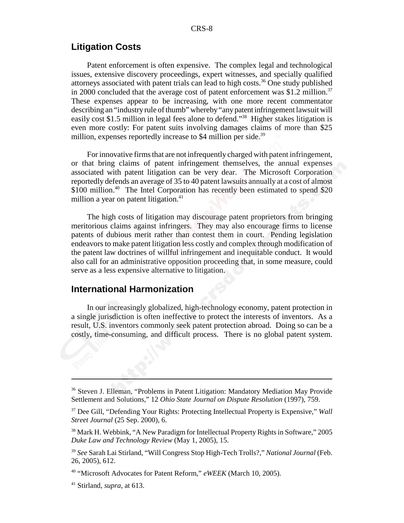# **Litigation Costs**

Patent enforcement is often expensive. The complex legal and technological issues, extensive discovery proceedings, expert witnesses, and specially qualified attorneys associated with patent trials can lead to high costs.<sup>36</sup> One study published in 2000 concluded that the average cost of patent enforcement was \$1.2 million.<sup>37</sup> These expenses appear to be increasing, with one more recent commentator describing an "industry rule of thumb" whereby "any patent infringement lawsuit will easily cost \$1.5 million in legal fees alone to defend."38 Higher stakes litigation is even more costly: For patent suits involving damages claims of more than \$25 million, expenses reportedly increase to \$4 million per side.<sup>39</sup>

For innovative firms that are not infrequently charged with patent infringement, or that bring claims of patent infringement themselves, the annual expenses associated with patent litigation can be very dear. The Microsoft Corporation reportedly defends an average of 35 to 40 patent lawsuits annually at a cost of almost \$100 million.<sup>40</sup> The Intel Corporation has recently been estimated to spend \$20 million a year on patent litigation.<sup>41</sup>

The high costs of litigation may discourage patent proprietors from bringing meritorious claims against infringers. They may also encourage firms to license patents of dubious merit rather than contest them in court. Pending legislation endeavors to make patent litigation less costly and complex through modification of the patent law doctrines of willful infringement and inequitable conduct. It would also call for an administrative opposition proceeding that, in some measure, could serve as a less expensive alternative to litigation.

## **International Harmonization**

In our increasingly globalized, high-technology economy, patent protection in a single jurisdiction is often ineffective to protect the interests of inventors. As a result, U.S. inventors commonly seek patent protection abroad. Doing so can be a costly, time-consuming, and difficult process. There is no global patent system.

<sup>36</sup> Steven J. Elleman, "Problems in Patent Litigation: Mandatory Mediation May Provide Settlement and Solutions," 12 *Ohio State Journal on Dispute Resolution* (1997), 759.

<sup>37</sup> Dee Gill, "Defending Your Rights: Protecting Intellectual Property is Expensive," *Wall Street Journal* (25 Sep. 2000), 6.

<sup>38</sup> Mark H. Webbink, "A New Paradigm for Intellectual Property Rights in Software," 2005 *Duke Law and Technology Review* (May 1, 2005), 15.

<sup>39</sup> *See* Sarah Lai Stirland, "Will Congress Stop High-Tech Trolls?," *National Journal* (Feb. 26, 2005), 612.

<sup>40 &</sup>quot;Microsoft Advocates for Patent Reform," *eWEEK* (March 10, 2005).

<sup>41</sup> Stirland, *supra*, at 613.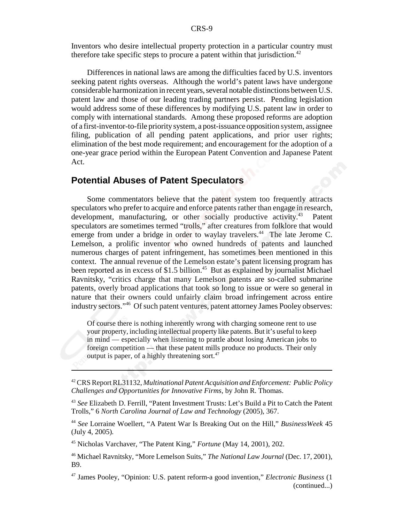Inventors who desire intellectual property protection in a particular country must therefore take specific steps to procure a patent within that jurisdiction.<sup>42</sup>

Differences in national laws are among the difficulties faced by U.S. inventors seeking patent rights overseas. Although the world's patent laws have undergone considerable harmonization in recent years, several notable distinctions between U.S. patent law and those of our leading trading partners persist. Pending legislation would address some of these differences by modifying U.S. patent law in order to comply with international standards. Among these proposed reforms are adoption of a first-inventor-to-file priority system, a post-issuance opposition system, assignee filing, publication of all pending patent applications, and prior user rights; elimination of the best mode requirement; and encouragement for the adoption of a one-year grace period within the European Patent Convention and Japanese Patent Act.

# **Potential Abuses of Patent Speculators**

Some commentators believe that the patent system too frequently attracts speculators who prefer to acquire and enforce patents rather than engage in research, development, manufacturing, or other socially productive activity.<sup>43</sup> Patent speculators are sometimes termed "trolls," after creatures from folklore that would emerge from under a bridge in order to waylay travelers.<sup>44</sup> The late Jerome C. Lemelson, a prolific inventor who owned hundreds of patents and launched numerous charges of patent infringement, has sometimes been mentioned in this context. The annual revenue of the Lemelson estate's patent licensing program has been reported as in excess of \$1.5 billion.<sup>45</sup> But as explained by journalist Michael Ravnitsky, "critics charge that many Lemelson patents are so-called submarine patents, overly broad applications that took so long to issue or were so general in nature that their owners could unfairly claim broad infringement across entire industry sectors."46 Of such patent ventures, patent attorney James Pooley observes:

Of course there is nothing inherently wrong with charging someone rent to use your property, including intellectual property like patents. But it's useful to keep in mind — especially when listening to prattle about losing American jobs to foreign competition — that these patent mills produce no products. Their only output is paper, of a highly threatening sort.<sup>47</sup>

45 Nicholas Varchaver, "The Patent King," *Fortune* (May 14, 2001), 202.

<sup>42</sup> CRS Report RL31132, *Multinational Patent Acquisition and Enforcement: Public Policy Challenges and Opportunities for Innovative Firms*, by John R. Thomas.

<sup>43</sup> *See* Elizabeth D. Ferrill, "Patent Investment Trusts: Let's Build a Pit to Catch the Patent Trolls," 6 *North Carolina Journal of Law and Technology* (2005), 367.

<sup>44</sup> *See* Lorraine Woellert, "A Patent War Is Breaking Out on the Hill," *BusinessWeek* 45 (July 4, 2005)*.*

<sup>46</sup> Michael Ravnitsky, "More Lemelson Suits," *The National Law Journal* (Dec. 17, 2001), B9.

<sup>47</sup> James Pooley, "Opinion: U.S. patent reform-a good invention," *Electronic Business* (1 (continued...)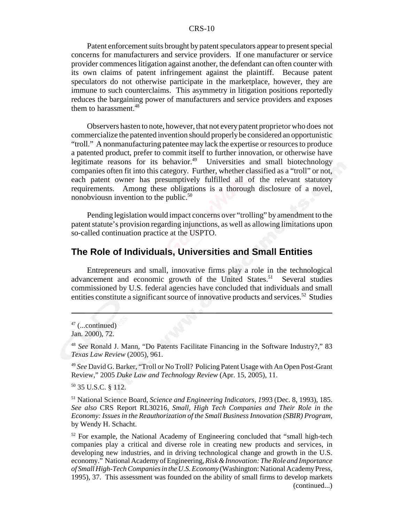Patent enforcement suits brought by patent speculators appear to present special concerns for manufacturers and service providers. If one manufacturer or service provider commences litigation against another, the defendant can often counter with its own claims of patent infringement against the plaintiff. Because patent speculators do not otherwise participate in the marketplace, however, they are immune to such counterclaims. This asymmetry in litigation positions reportedly reduces the bargaining power of manufacturers and service providers and exposes them to harassment.48

 Observers hasten to note, however, that not every patent proprietor who does not commercialize the patented invention should properly be considered an opportunistic "troll." A nonmanufacturing patentee may lack the expertise or resources to produce a patented product, prefer to commit itself to further innovation, or otherwise have legitimate reasons for its behavior.<sup>49</sup> Universities and small biotechnology companies often fit into this category. Further, whether classified as a "troll" or not, each patent owner has presumptively fulfilled all of the relevant statutory requirements. Among these obligations is a thorough disclosure of a novel, nonobviousn invention to the public.<sup>50</sup>

Pending legislation would impact concerns over "trolling" by amendment to the patent statute's provision regarding injunctions, as well as allowing limitations upon so-called continuation practice at the USPTO.

# **The Role of Individuals, Universities and Small Entities**

Entrepreneurs and small, innovative firms play a role in the technological advancement and economic growth of the United States.<sup>51</sup> Several studies commissioned by U.S. federal agencies have concluded that individuals and small entities constitute a significant source of innovative products and services.<sup>52</sup> Studies

50 35 U.S.C. § 112.

51 National Science Board, *Science and Engineering Indicators, 199*3 (Dec. 8, 1993), 185. *See also* CRS Report RL30216, *Small, High Tech Companies and Their Role in the Economy: Issues in the Reauthorization of the Small Business Innovation (SBIR) Program*, by Wendy H. Schacht.

 $52$  For example, the National Academy of Engineering concluded that "small high-tech" companies play a critical and diverse role in creating new products and services, in developing new industries, and in driving technological change and growth in the U.S. economy." National Academy of Engineering, *Risk & Innovation: The Role and Importance of Small High-Tech Companies in the U.S. Economy* (Washington: National Academy Press, 1995), 37. This assessment was founded on the ability of small firms to develop markets (continued...)

 $47$  (...continued)

Jan. 2000), 72.

<sup>48</sup> *See* Ronald J. Mann, "Do Patents Facilitate Financing in the Software Industry?," 83 *Texas Law Review* (2005), 961.

<sup>49</sup> *See* David G. Barker, "Troll or No Troll? Policing Patent Usage with An Open Post-Grant Review," 2005 *Duke Law and Technology Review* (Apr. 15, 2005), 11.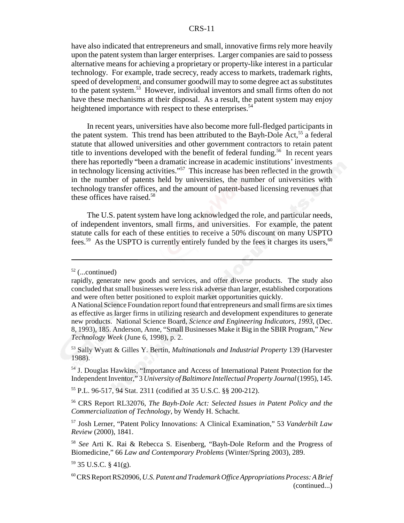have also indicated that entrepreneurs and small, innovative firms rely more heavily upon the patent system than larger enterprises. Larger companies are said to possess alternative means for achieving a proprietary or property-like interest in a particular technology. For example, trade secrecy, ready access to markets, trademark rights, speed of development, and consumer goodwill may to some degree act as substitutes to the patent system.53 However, individual inventors and small firms often do not have these mechanisms at their disposal. As a result, the patent system may enjoy heightened importance with respect to these enterprises.<sup>54</sup>

In recent years, universities have also become more full-fledged participants in the patent system. This trend has been attributed to the Bayh-Dole Act,  $55$  a federal statute that allowed universities and other government contractors to retain patent title to inventions developed with the benefit of federal funding.<sup>56</sup> In recent years there has reportedly "been a dramatic increase in academic institutions' investments in technology licensing activities."57 This increase has been reflected in the growth in the number of patents held by universities, the number of universities with technology transfer offices, and the amount of patent-based licensing revenues that these offices have raised.<sup>58</sup>

The U.S. patent system have long acknowledged the role, and particular needs, of independent inventors, small firms, and universities. For example, the patent statute calls for each of these entities to receive a 50% discount on many USPTO fees.<sup>59</sup> As the USPTO is currently entirely funded by the fees it charges its users,<sup>60</sup>

55 P.L. 96-517, 94 Stat. 2311 (codified at 35 U.S.C. §§ 200-212).

 $59$  35 U.S.C. § 41(g).

 $52$  (...continued)

rapidly, generate new goods and services, and offer diverse products. The study also concluded that small businesses were less risk adverse than larger, established corporations and were often better positioned to exploit market opportunities quickly.

A National Science Foundation report found that entrepreneurs and small firms are six times as effective as larger firms in utilizing research and development expenditures to generate new products. National Science Board, *Science and Engineering Indicators*, *1993*, (Dec. 8, 1993), 185. Anderson, Anne, "Small Businesses Make it Big in the SBIR Program," *New Technology Week* (June 6, 1998), p. 2.

<sup>53</sup> Sally Wyatt & Gilles Y. Bertin, *Multinationals and Industrial Property* 139 (Harvester 1988).

<sup>54</sup> J. Douglas Hawkins, "Importance and Access of International Patent Protection for the Independent Inventor," 3 *University of Baltimore Intellectual Property Journal*(1995), 145.

<sup>56</sup> CRS Report RL32076, *The Bayh-Dole Act: Selected Issues in Patent Policy and the Commercialization of Technology*, by Wendy H. Schacht.

<sup>57</sup> Josh Lerner, "Patent Policy Innovations: A Clinical Examination," 53 *Vanderbilt Law Review* (2000), 1841.

<sup>58</sup> *See* Arti K. Rai & Rebecca S. Eisenberg, "Bayh-Dole Reform and the Progress of Biomedicine," 66 *Law and Contemporary Problems* (Winter/Spring 2003), 289.

<sup>60</sup> CRS Report RS20906, *U.S. Patent and Trademark Office Appropriations Process: A Brief* (continued...)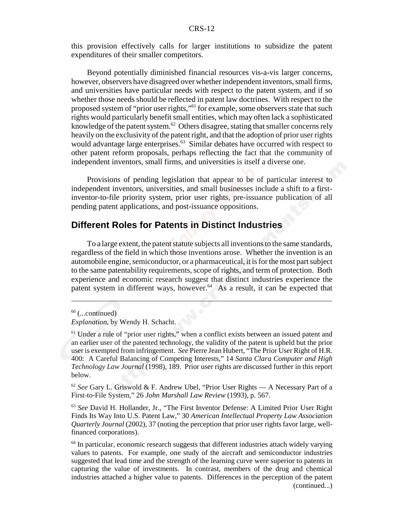this provision effectively calls for larger institutions to subsidize the patent expenditures of their smaller competitors.

Beyond potentially diminished financial resources vis-a-vis larger concerns, however, observers have disagreed over whether independent inventors, small firms, and universities have particular needs with respect to the patent system, and if so whether those needs should be reflected in patent law doctrines. With respect to the proposed system of "prior user rights,"61 for example, some observers state that such rights would particularly benefit small entities, which may often lack a sophisticated knowledge of the patent system.<sup>62</sup> Others disagree, stating that smaller concerns rely heavily on the exclusivity of the patent right, and that the adoption of prior user rights would advantage large enterprises.<sup>63</sup> Similar debates have occurred with respect to other patent reform proposals, perhaps reflecting the fact that the community of independent inventors, small firms, and universities is itself a diverse one.

Provisions of pending legislation that appear to be of particular interest to independent inventors, universities, and small businesses include a shift to a firstinventor-to-file priority system, prior user rights, pre-issuance publication of all pending patent applications, and post-issuance oppositions.

# **Different Roles for Patents in Distinct Industries**

To a large extent, the patent statute subjects all inventions to the same standards, regardless of the field in which those inventions arose. Whether the invention is an automobile engine, semiconductor, or a pharmaceutical, it is for the most part subject to the same patentability requirements, scope of rights, and term of protection. Both experience and economic research suggest that distinct industries experience the patent system in different ways, however.<sup>64</sup> As a result, it can be expected that

<sup>62</sup> *See* Gary L. Griswold & F. Andrew Ubel, "Prior User Rights — A Necessary Part of a First-to-File System," 26 *John Marshall Law Review* (1993), p. 567.

<sup>63</sup> *See* David H. Hollander, Jr., "The First Inventor Defense: A Limited Prior User Right Finds Its Way Into U.S. Patent Law," 30 *American Intellectual Property Law Association Quarterly Journal* (2002), 37 (noting the perception that prior user rights favor large, wellfinanced corporations).

 $64$  In particular, economic research suggests that different industries attach widely varying values to patents. For example, one study of the aircraft and semiconductor industries suggested that lead time and the strength of the learning curve were superior to patents in capturing the value of investments. In contrast, members of the drug and chemical industries attached a higher value to patents. Differences in the perception of the patent (continued...)

 $60$  (...continued)

*Explanation*, by Wendy H. Schacht.

<sup>&</sup>lt;sup>61</sup> Under a rule of "prior user rights," when a conflict exists between an issued patent and an earlier user of the patented technology, the validity of the patent is upheld but the prior user is exempted from infringement. *See* Pierre Jean Hubert, "The Prior User Right of H.R. 400: A Careful Balancing of Competing Interests," 14 *Santa Clara Computer and High Technology Law Journal* (1998), 189. Prior user rights are discussed further in this report below.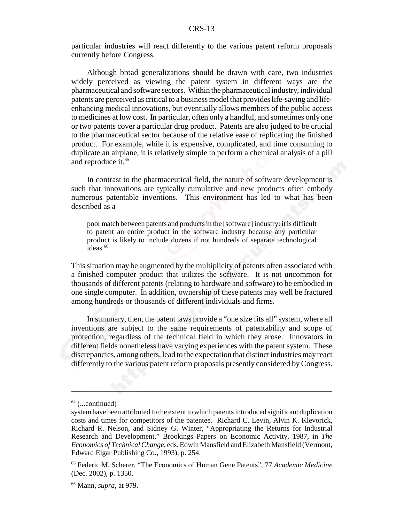particular industries will react differently to the various patent reform proposals currently before Congress.

Although broad generalizations should be drawn with care, two industries widely perceived as viewing the patent system in different ways are the pharmaceutical and software sectors. Within the pharmaceutical industry, individual patents are perceived as critical to a business model that provides life-saving and lifeenhancing medical innovations, but eventually allows members of the public access to medicines at low cost. In particular, often only a handful, and sometimes only one or two patents cover a particular drug product. Patents are also judged to be crucial to the pharmaceutical sector because of the relative ease of replicating the finished product. For example, while it is expensive, complicated, and time consuming to duplicate an airplane, it is relatively simple to perform a chemical analysis of a pill and reproduce it.<sup>65</sup>

In contrast to the pharmaceutical field, the nature of software development is such that innovations are typically cumulative and new products often embody numerous patentable inventions. This environment has led to what has been described as a

poor match between patents and products in the [software] industry: it is difficult to patent an entire product in the software industry because any particular product is likely to include dozens if not hundreds of separate technological ideas.<sup>66</sup>

This situation may be augmented by the multiplicity of patents often associated with a finished computer product that utilizes the software. It is not uncommon for thousands of different patents (relating to hardware and software) to be embodied in one single computer. In addition, ownership of these patents may well be fractured among hundreds or thousands of different individuals and firms.

In summary, then, the patent laws provide a "one size fits all" system, where all inventions are subject to the same requirements of patentability and scope of protection, regardless of the technical field in which they arose. Innovators in different fields nonetheless have varying experiences with the patent system. These discrepancies, among others, lead to the expectation that distinct industries may react differently to the various patent reform proposals presently considered by Congress.

 $64$  (...continued)

system have been attributed to the extent to which patents introduced significant duplication costs and times for competitors of the patentee. Richard C. Levin, Alvin K. Klevorick, Richard R. Nelson, and Sidney G. Winter, "Appropriating the Returns for Industrial Research and Development," Brookings Papers on Economic Activity, 1987, in *The Economics of Technical Change*, eds. Edwin Mansfield and Elizabeth Mansfield (Vermont, Edward Elgar Publishing Co., 1993), p. 254.

<sup>65</sup> Federic M. Scherer, "The Economics of Human Gene Patents", 77 *Academic Medicine* (Dec. 2002), p. 1350.

<sup>66</sup> Mann, *supra*, at 979.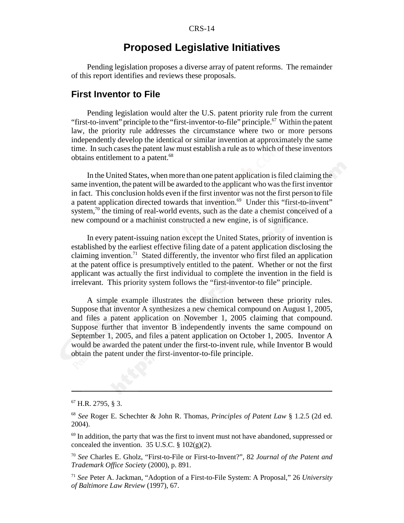# **Proposed Legislative Initiatives**

Pending legislation proposes a diverse array of patent reforms. The remainder of this report identifies and reviews these proposals.

# **First Inventor to File**

Pending legislation would alter the U.S. patent priority rule from the current "first-to-invent" principle to the "first-inventor-to-file" principle. $^{67}$  Within the patent law, the priority rule addresses the circumstance where two or more persons independently develop the identical or similar invention at approximately the same time. In such cases the patent law must establish a rule as to which of these inventors obtains entitlement to a patent.<sup>68</sup>

In the United States, when more than one patent application is filed claiming the same invention, the patent will be awarded to the applicant who was the first inventor in fact. This conclusion holds even if the first inventor was not the first person to file a patent application directed towards that invention.<sup>69</sup> Under this "first-to-invent" system, $^{70}$  the timing of real-world events, such as the date a chemist conceived of a new compound or a machinist constructed a new engine, is of significance.

In every patent-issuing nation except the United States, priority of invention is established by the earliest effective filing date of a patent application disclosing the claiming invention.<sup>71</sup> Stated differently, the inventor who first filed an application at the patent office is presumptively entitled to the patent. Whether or not the first applicant was actually the first individual to complete the invention in the field is irrelevant. This priority system follows the "first-inventor-to file" principle.

A simple example illustrates the distinction between these priority rules. Suppose that inventor A synthesizes a new chemical compound on August 1, 2005, and files a patent application on November 1, 2005 claiming that compound. Suppose further that inventor B independently invents the same compound on September 1, 2005, and files a patent application on October 1, 2005. Inventor A would be awarded the patent under the first-to-invent rule, while Inventor B would obtain the patent under the first-inventor-to-file principle.

<sup>67</sup> H.R. 2795, § 3.

<sup>68</sup> *See* Roger E. Schechter & John R. Thomas, *Principles of Patent Law* § 1.2.5 (2d ed. 2004).

 $69$  In addition, the party that was the first to invent must not have abandoned, suppressed or concealed the invention. 35 U.S.C.  $\S 102(g)(2)$ .

<sup>70</sup> *See* Charles E. Gholz, "First-to-File or First-to-Invent?", 82 *Journal of the Patent and Trademark Office Society* (2000), p. 891.

<sup>71</sup> *See* Peter A. Jackman, "Adoption of a First-to-File System: A Proposal," 26 *University of Baltimore Law Review* (1997), 67.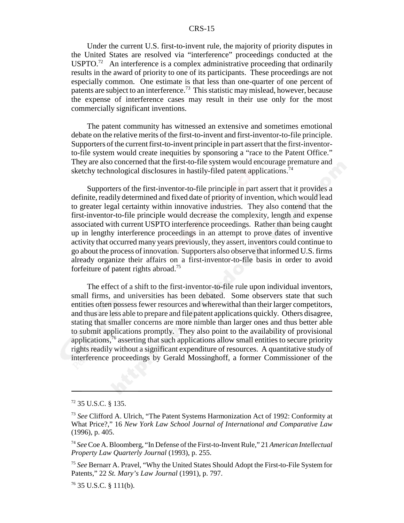Under the current U.S. first-to-invent rule, the majority of priority disputes in the United States are resolved via "interference" proceedings conducted at the USPTO.<sup>72</sup> An interference is a complex administrative proceeding that ordinarily results in the award of priority to one of its participants. These proceedings are not especially common. One estimate is that less than one-quarter of one percent of patents are subject to an interference.73 This statistic may mislead, however, because the expense of interference cases may result in their use only for the most commercially significant inventions.

The patent community has witnessed an extensive and sometimes emotional debate on the relative merits of the first-to-invent and first-inventor-to-file principle. Supporters of the current first-to-invent principle in part assert that the first-inventorto-file system would create inequities by sponsoring a "race to the Patent Office." They are also concerned that the first-to-file system would encourage premature and sketchy technological disclosures in hastily-filed patent applications.<sup>74</sup>

Supporters of the first-inventor-to-file principle in part assert that it provides a definite, readily determined and fixed date of priority of invention, which would lead to greater legal certainty within innovative industries. They also contend that the first-inventor-to-file principle would decrease the complexity, length and expense associated with current USPTO interference proceedings. Rather than being caught up in lengthy interference proceedings in an attempt to prove dates of inventive activity that occurred many years previously, they assert, inventors could continue to go about the process of innovation. Supporters also observe that informed U.S. firms already organize their affairs on a first-inventor-to-file basis in order to avoid forfeiture of patent rights abroad.75

The effect of a shift to the first-inventor-to-file rule upon individual inventors, small firms, and universities has been debated. Some observers state that such entities often possess fewer resources and wherewithal than their larger competitors, and thus are less able to prepare and file patent applications quickly. Others disagree, stating that smaller concerns are more nimble than larger ones and thus better able to submit applications promptly. They also point to the availability of provisional applications, $76$  asserting that such applications allow small entities to secure priority rights readily without a significant expenditure of resources. A quantitative study of interference proceedings by Gerald Mossinghoff, a former Commissioner of the

<sup>72 35</sup> U.S.C. § 135.

<sup>73</sup> *See* Clifford A. Ulrich, "The Patent Systems Harmonization Act of 1992: Conformity at What Price?," 16 *New York Law School Journal of International and Comparative Law* (1996), p. 405.

<sup>74</sup> *See* Coe A. Bloomberg, "In Defense of the First-to-Invent Rule," 21 *American Intellectual Property Law Quarterly Journal* (1993), p. 255.

<sup>75</sup> *See* Bernarr A. Pravel, "Why the United States Should Adopt the First-to-File System for Patents," 22 *St. Mary's Law Journal* (1991), p. 797.

 $76$  35 U.S.C. § 111(b).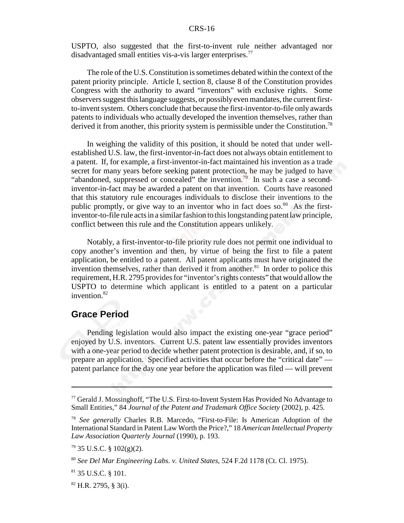USPTO, also suggested that the first-to-invent rule neither advantaged nor disadvantaged small entities vis-a-vis larger enterprises.<sup>77</sup>

The role of the U.S. Constitution is sometimes debated within the context of the patent priority principle. Article I, section 8, clause 8 of the Constitution provides Congress with the authority to award "inventors" with exclusive rights. Some observers suggest this language suggests, or possibly even mandates, the current firstto-invent system. Others conclude that because the first-inventor-to-file only awards patents to individuals who actually developed the invention themselves, rather than derived it from another, this priority system is permissible under the Constitution.<sup>78</sup>

In weighing the validity of this position, it should be noted that under wellestablished U.S. law, the first-inventor-in-fact does not always obtain entitlement to a patent. If, for example, a first-inventor-in-fact maintained his invention as a trade secret for many years before seeking patent protection, he may be judged to have "abandoned, suppressed or concealed" the invention.<sup>79</sup> In such a case a secondinventor-in-fact may be awarded a patent on that invention. Courts have reasoned that this statutory rule encourages individuals to disclose their inventions to the public promptly, or give way to an inventor who in fact does so. $80^\circ$  As the firstinventor-to-file rule acts in a similar fashion to this longstanding patent law principle, conflict between this rule and the Constitution appears unlikely.

Notably, a first-inventor-to-file priority rule does not permit one individual to copy another's invention and then, by virtue of being the first to file a patent application, be entitled to a patent. All patent applicants must have originated the invention themselves, rather than derived it from another.<sup>81</sup> In order to police this requirement, H.R. 2795 provides for "inventor's rights contests" that would allow the USPTO to determine which applicant is entitled to a patent on a particular invention.82

### **Grace Period**

Pending legislation would also impact the existing one-year "grace period" enjoyed by U.S. inventors. Current U.S. patent law essentially provides inventors with a one-year period to decide whether patent protection is desirable, and, if so, to prepare an application. Specified activities that occur before the "critical date" patent parlance for the day one year before the application was filed — will prevent

<sup>&</sup>lt;sup>77</sup> Gerald J. Mossinghoff, "The U.S. First-to-Invent System Has Provided No Advantage to Small Entities," 84 *Journal of the Patent and Trademark Office Society* (2002), p. 425.

<sup>78</sup> *See generally* Charles R.B. Marcedo, "First-to-File: Is American Adoption of the International Standard in Patent Law Worth the Price?," 18 *American Intellectual Property Law Association Quarterly Journal* (1990), p. 193.

 $79$  35 U.S.C. § 102(g)(2).

<sup>80</sup> *See Del Mar Engineering Labs. v. United States*, 524 F.2d 1178 (Ct. Cl. 1975).

<sup>81 35</sup> U.S.C. § 101.

 $82$  H.R. 2795, § 3(i).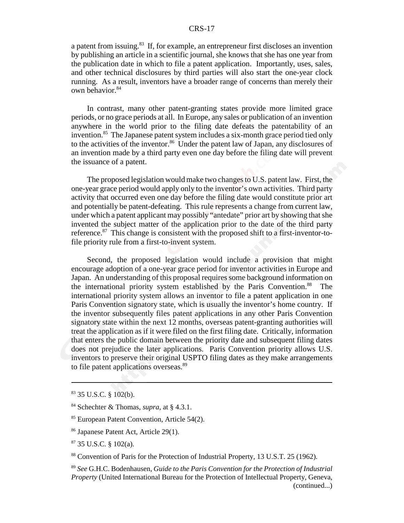a patent from issuing.<sup>83</sup> If, for example, an entrepreneur first discloses an invention by publishing an article in a scientific journal, she knows that she has one year from the publication date in which to file a patent application. Importantly, uses, sales, and other technical disclosures by third parties will also start the one-year clock running. As a result, inventors have a broader range of concerns than merely their own behavior.<sup>84</sup>

In contrast, many other patent-granting states provide more limited grace periods, or no grace periods at all. In Europe, any sales or publication of an invention anywhere in the world prior to the filing date defeats the patentability of an invention.<sup>85</sup> The Japanese patent system includes a six-month grace period tied only to the activities of the inventor.<sup>86</sup> Under the patent law of Japan, any disclosures of an invention made by a third party even one day before the filing date will prevent the issuance of a patent.

The proposed legislation would make two changes to U.S. patent law. First, the one-year grace period would apply only to the inventor's own activities. Third party activity that occurred even one day before the filing date would constitute prior art and potentially be patent-defeating. This rule represents a change from current law, under which a patent applicant may possibly "antedate" prior art by showing that she invented the subject matter of the application prior to the date of the third party reference.<sup>87</sup> This change is consistent with the proposed shift to a first-inventor-tofile priority rule from a first-to-invent system.

Second, the proposed legislation would include a provision that might encourage adoption of a one-year grace period for inventor activities in Europe and Japan. An understanding of this proposal requires some background information on the international priority system established by the Paris Convention.<sup>88</sup> The international priority system allows an inventor to file a patent application in one Paris Convention signatory state, which is usually the inventor's home country. If the inventor subsequently files patent applications in any other Paris Convention signatory state within the next 12 months, overseas patent-granting authorities will treat the application as if it were filed on the first filing date. Critically, information that enters the public domain between the priority date and subsequent filing dates does not prejudice the later applications. Paris Convention priority allows U.S. inventors to preserve their original USPTO filing dates as they make arrangements to file patent applications overseas.<sup>89</sup>

88 Convention of Paris for the Protection of Industrial Property, 13 U.S.T. 25 (1962).

<sup>83 35</sup> U.S.C. § 102(b).

<sup>84</sup> Schechter & Thomas, *supra*, at § 4.3.1.

<sup>&</sup>lt;sup>85</sup> European Patent Convention, Article 54(2).

<sup>86</sup> Japanese Patent Act, Article 29(1).

<sup>87 35</sup> U.S.C. § 102(a).

<sup>89</sup> *See* G.H.C. Bodenhausen, *Guide to the Paris Convention for the Protection of Industrial Property* (United International Bureau for the Protection of Intellectual Property, Geneva, (continued...)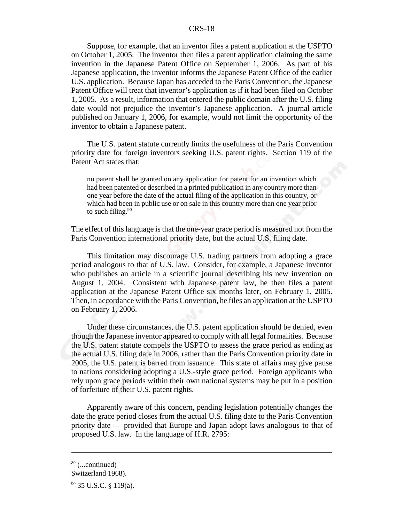Suppose, for example, that an inventor files a patent application at the USPTO on October 1, 2005. The inventor then files a patent application claiming the same invention in the Japanese Patent Office on September 1, 2006. As part of his Japanese application, the inventor informs the Japanese Patent Office of the earlier U.S. application. Because Japan has acceded to the Paris Convention, the Japanese Patent Office will treat that inventor's application as if it had been filed on October 1, 2005. As a result, information that entered the public domain after the U.S. filing date would not prejudice the inventor's Japanese application. A journal article published on January 1, 2006, for example, would not limit the opportunity of the inventor to obtain a Japanese patent.

The U.S. patent statute currently limits the usefulness of the Paris Convention priority date for foreign inventors seeking U.S. patent rights. Section 119 of the Patent Act states that:

no patent shall be granted on any application for patent for an invention which had been patented or described in a printed publication in any country more than one year before the date of the actual filing of the application in this country, or which had been in public use or on sale in this country more than one year prior to such filing.<sup>90</sup>

The effect of this language is that the one-year grace period is measured not from the Paris Convention international priority date, but the actual U.S. filing date.

This limitation may discourage U.S. trading partners from adopting a grace period analogous to that of U.S. law. Consider, for example, a Japanese inventor who publishes an article in a scientific journal describing his new invention on August 1, 2004. Consistent with Japanese patent law, he then files a patent application at the Japanese Patent Office six months later, on February 1, 2005. Then, in accordance with the Paris Convention, he files an application at the USPTO on February 1, 2006.

Under these circumstances, the U.S. patent application should be denied, even though the Japanese inventor appeared to comply with all legal formalities. Because the U.S. patent statute compels the USPTO to assess the grace period as ending as the actual U.S. filing date in 2006, rather than the Paris Convention priority date in 2005, the U.S. patent is barred from issuance. This state of affairs may give pause to nations considering adopting a U.S.-style grace period. Foreign applicants who rely upon grace periods within their own national systems may be put in a position of forfeiture of their U.S. patent rights.

Apparently aware of this concern, pending legislation potentially changes the date the grace period closes from the actual U.S. filing date to the Paris Convention priority date — provided that Europe and Japan adopt laws analogous to that of proposed U.S. law. In the language of H.R. 2795:

 $89$  (...continued)

Switzerland 1968).

 $90$  35 U.S.C. § 119(a).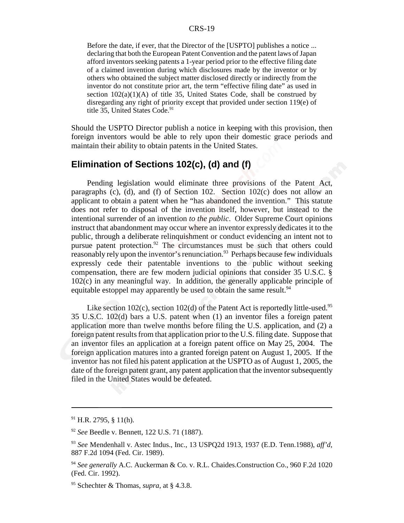Before the date, if ever, that the Director of the [USPTO] publishes a notice ... declaring that both the European Patent Convention and the patent laws of Japan afford inventors seeking patents a 1-year period prior to the effective filing date of a claimed invention during which disclosures made by the inventor or by others who obtained the subject matter disclosed directly or indirectly from the inventor do not constitute prior art, the term "effective filing date" as used in section  $102(a)(1)(A)$  of title 35, United States Code, shall be construed by disregarding any right of priority except that provided under section 119(e) of title 35, United States Code.<sup>91</sup>

Should the USPTO Director publish a notice in keeping with this provision, then foreign inventors would be able to rely upon their domestic grace periods and maintain their ability to obtain patents in the United States.

# **Elimination of Sections 102(c), (d) and (f)**

Pending legislation would eliminate three provisions of the Patent Act, paragraphs (c), (d), and (f) of Section 102. Section 102(c) does not allow an applicant to obtain a patent when he "has abandoned the invention." This statute does not refer to disposal of the invention itself, however, but instead to the intentional surrender of an invention *to the public*. Older Supreme Court opinions instruct that abandonment may occur where an inventor expressly dedicates it to the public, through a deliberate relinquishment or conduct evidencing an intent not to pursue patent protection.<sup>92</sup> The circumstances must be such that others could reasonably rely upon the inventor's renunciation.<sup>93</sup> Perhaps because few individuals expressly cede their patentable inventions to the public without seeking compensation, there are few modern judicial opinions that consider 35 U.S.C. § 102(c) in any meaningful way. In addition, the generally applicable principle of equitable estoppel may apparently be used to obtain the same result.<sup>94</sup>

Like section 102(c), section 102(d) of the Patent Act is reportedly little-used.<sup>95</sup> 35 U.S.C. 102(d) bars a U.S. patent when (1) an inventor files a foreign patent application more than twelve months before filing the U.S. application, and (2) a foreign patent results from that application prior to the U.S. filing date. Suppose that an inventor files an application at a foreign patent office on May 25, 2004. The foreign application matures into a granted foreign patent on August 1, 2005. If the inventor has not filed his patent application at the USPTO as of August 1, 2005, the date of the foreign patent grant, any patent application that the inventor subsequently filed in the United States would be defeated.

 $91$  H.R. 2795, § 11(h).

<sup>92</sup> *See* Beedle v. Bennett, 122 U.S. 71 (1887).

<sup>93</sup> *See* Mendenhall v. Astec Indus., Inc., 13 USPQ2d 1913, 1937 (E.D. Tenn.1988), *aff'd*, 887 F.2d 1094 (Fed. Cir. 1989).

<sup>94</sup> *See generally* A.C. Auckerman & Co. v. R.L. Chaides.Construction Co., 960 F.2d 1020 (Fed. Cir. 1992).

<sup>95</sup> Schechter & Thomas, *supra*, at § 4.3.8.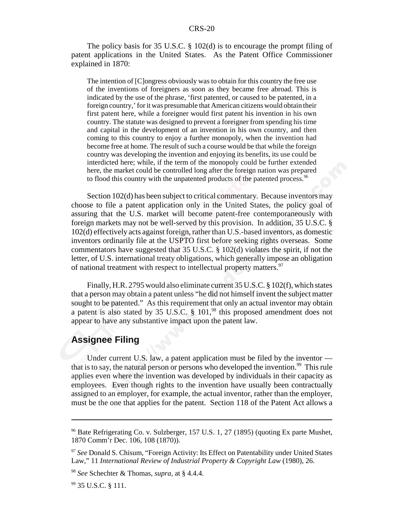The policy basis for 35 U.S.C. § 102(d) is to encourage the prompt filing of patent applications in the United States. As the Patent Office Commissioner explained in 1870:

The intention of [C]ongress obviously was to obtain for this country the free use of the inventions of foreigners as soon as they became free abroad. This is indicated by the use of the phrase, 'first patented, or caused to be patented, in a foreign country,' for it was presumable that American citizens would obtain their first patent here, while a foreigner would first patent his invention in his own country. The statute was designed to prevent a foreigner from spending his time and capital in the development of an invention in his own country, and then coming to this country to enjoy a further monopoly, when the invention had become free at home. The result of such a course would be that while the foreign country was developing the invention and enjoying its benefits, its use could be interdicted here; while, if the term of the monopoly could be further extended here, the market could be controlled long after the foreign nation was prepared to flood this country with the unpatented products of the patented process.<sup>96</sup>

Section 102(d) has been subject to critical commentary. Because inventors may choose to file a patent application only in the United States, the policy goal of assuring that the U.S. market will become patent-free contemporaneously with foreign markets may not be well-served by this provision. In addition, 35 U.S.C. § 102(d) effectively acts against foreign, rather than U.S.-based inventors, as domestic inventors ordinarily file at the USPTO first before seeking rights overseas. Some commentators have suggested that 35 U.S.C. § 102(d) violates the spirit, if not the letter, of U.S. international treaty obligations, which generally impose an obligation of national treatment with respect to intellectual property matters.<sup>97</sup>

Finally, H.R. 2795 would also eliminate current 35 U.S.C. § 102(f), which states that a person may obtain a patent unless "he did not himself invent the subject matter sought to be patented." As this requirement that only an actual inventor may obtain a patent is also stated by 35 U.S.C. § 101,98 this proposed amendment does not appear to have any substantive impact upon the patent law.

# **Assignee Filing**

Under current U.S. law, a patent application must be filed by the inventor that is to say, the natural person or persons who developed the invention.<sup>99</sup> This rule applies even where the invention was developed by individuals in their capacity as employees. Even though rights to the invention have usually been contractually assigned to an employer, for example, the actual inventor, rather than the employer, must be the one that applies for the patent. Section 118 of the Patent Act allows a

<sup>&</sup>lt;sup>96</sup> Bate Refrigerating Co. v. Sulzberger, 157 U.S. 1, 27 (1895) (quoting Ex parte Mushet, 1870 Comm'r Dec. 106, 108 (1870)).

<sup>97</sup> *See* Donald S. Chisum, "Foreign Activity: Its Effect on Patentability under United States Law," 11 *International Review of Industrial Property & Copyright Law* (1980), 26.

<sup>98</sup> *See* Schechter & Thomas, *supra*, at § 4.4.4.

<sup>&</sup>lt;sup>99</sup> 35 U.S.C. § 111.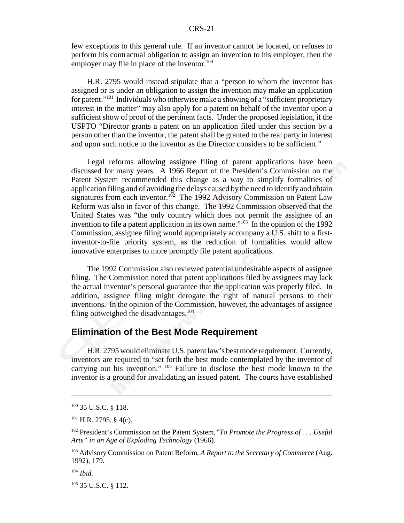few exceptions to this general rule. If an inventor cannot be located, or refuses to perform his contractual obligation to assign an invention to his employer, then the employer may file in place of the inventor. $100$ 

H.R. 2795 would instead stipulate that a "person to whom the inventor has assigned or is under an obligation to assign the invention may make an application for patent."101 Individuals who otherwise make a showing of a "sufficient proprietary interest in the matter" may also apply for a patent on behalf of the inventor upon a sufficient show of proof of the pertinent facts. Under the proposed legislation, if the USPTO "Director grants a patent on an application filed under this section by a person other than the inventor, the patent shall be granted to the real party in interest and upon such notice to the inventor as the Director considers to be sufficient."

Legal reforms allowing assignee filing of patent applications have been discussed for many years. A 1966 Report of the President's Commission on the Patent System recommended this change as a way to simplify formalities of application filing and of avoiding the delays caused by the need to identify and obtain signatures from each inventor.<sup>102</sup> The 1992 Advisory Commission on Patent Law Reform was also in favor of this change. The 1992 Commission observed that the United States was "the only country which does not permit the assignee of an invention to file a patent application in its own name."<sup>103</sup> In the opinion of the 1992 Commission, assignee filing would appropriately accompany a U.S. shift to a firstinventor-to-file priority system, as the reduction of formalities would allow innovative enterprises to more promptly file patent applications.

The 1992 Commission also reviewed potential undesirable aspects of assignee filing. The Commission noted that patent applications filed by assignees may lack the actual inventor's personal guarantee that the application was properly filed. In addition, assignee filing might derogate the right of natural persons to their inventions. In the opinion of the Commission, however, the advantages of assignee filing outweighed the disadvantages.<sup>104</sup>

# **Elimination of the Best Mode Requirement**

H.R. 2795 would eliminate U.S. patent law's best mode requirement. Currently, inventors are required to "set forth the best mode contemplated by the inventor of carrying out his invention." 105 Failure to disclose the best mode known to the inventor is a ground for invalidating an issued patent. The courts have established

<sup>104</sup> *Ibid.*

105 35 U.S.C. § 112.

<sup>100 35</sup> U.S.C. § 118.

 $101$  H.R. 2795, § 4(c).

<sup>102</sup> President's Commission on the Patent System,*"To Promote the Progress of . . . Useful Arts" in an Age of Exploding Technology* (1966).

<sup>103</sup> Advisory Commission on Patent Reform, *A Report to the Secretary of Commerce* (Aug. 1992), 179.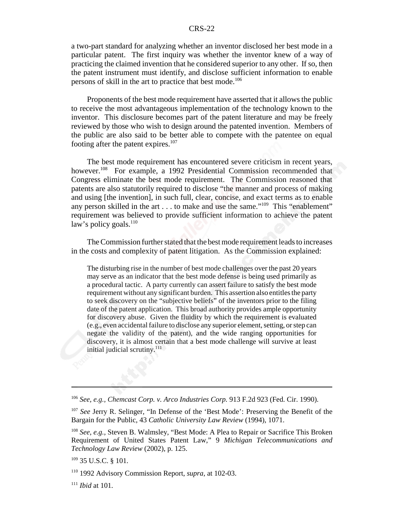a two-part standard for analyzing whether an inventor disclosed her best mode in a particular patent. The first inquiry was whether the inventor knew of a way of practicing the claimed invention that he considered superior to any other. If so, then the patent instrument must identify, and disclose sufficient information to enable persons of skill in the art to practice that best mode.<sup>106</sup>

Proponents of the best mode requirement have asserted that it allows the public to receive the most advantageous implementation of the technology known to the inventor. This disclosure becomes part of the patent literature and may be freely reviewed by those who wish to design around the patented invention. Members of the public are also said to be better able to compete with the patentee on equal footing after the patent expires. $107$ 

The best mode requirement has encountered severe criticism in recent years, however.<sup>108</sup> For example, a 1992 Presidential Commission recommended that Congress eliminate the best mode requirement. The Commission reasoned that patents are also statutorily required to disclose "the manner and process of making and using [the invention], in such full, clear, concise, and exact terms as to enable any person skilled in the art . . . to make and use the same."<sup>109</sup> This "enablement" requirement was believed to provide sufficient information to achieve the patent law's policy goals. $110$ 

The Commission further stated that the best mode requirement leads to increases in the costs and complexity of patent litigation. As the Commission explained:

The disturbing rise in the number of best mode challenges over the past 20 years may serve as an indicator that the best mode defense is being used primarily as a procedural tactic. A party currently can assert failure to satisfy the best mode requirement without any significant burden. This assertion also entitles the party to seek discovery on the "subjective beliefs" of the inventors prior to the filing date of the patent application. This broad authority provides ample opportunity for discovery abuse. Given the fluidity by which the requirement is evaluated (e.g., even accidental failure to disclose any superior element, setting, or step can negate the validity of the patent), and the wide ranging opportunities for discovery, it is almost certain that a best mode challenge will survive at least initial judicial scrutiny.<sup>111</sup>

<sup>106</sup> *See, e.g., Chemcast Corp. v. Arco Industries Corp.* 913 F.2d 923 (Fed. Cir. 1990).

<sup>&</sup>lt;sup>107</sup> See Jerry R. Selinger, "In Defense of the 'Best Mode': Preserving the Benefit of the Bargain for the Public, 43 *Catholic University Law Review* (1994), 1071.

<sup>108</sup> *See, e.g.,* Steven B. Walmsley, "Best Mode: A Plea to Repair or Sacrifice This Broken Requirement of United States Patent Law," 9 *Michigan Telecommunications and Technology Law Review* (2002), p. 125.

<sup>109 35</sup> U.S.C. § 101.

<sup>110 1992</sup> Advisory Commission Report, *supra,* at 102-03.

<sup>111</sup> *Ibid* at 101.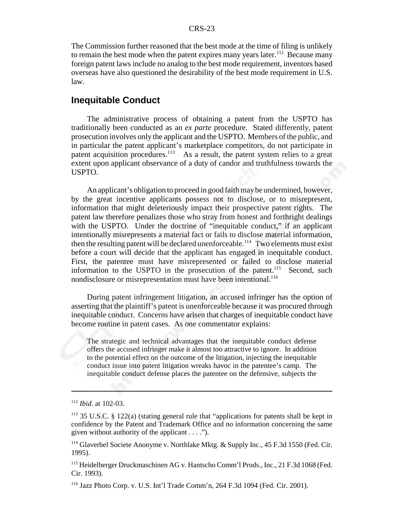The Commission further reasoned that the best mode at the time of filing is unlikely to remain the best mode when the patent expires many years later.<sup>112</sup> Because many foreign patent laws include no analog to the best mode requirement, inventors based overseas have also questioned the desirability of the best mode requirement in U.S. law.

#### **Inequitable Conduct**

The administrative process of obtaining a patent from the USPTO has traditionally been conducted as an *ex parte* procedure. Stated differently, patent prosecution involves only the applicant and the USPTO. Members of the public, and in particular the patent applicant's marketplace competitors, do not participate in patent acquisition procedures.<sup>113</sup> As a result, the patent system relies to a great extent upon applicant observance of a duty of candor and truthfulness towards the USPTO.

An applicant's obligation to proceed in good faith may be undermined, however, by the great incentive applicants possess not to disclose, or to misrepresent, information that might deleteriously impact their prospective patent rights. The patent law therefore penalizes those who stray from honest and forthright dealings with the USPTO. Under the doctrine of "inequitable conduct," if an applicant intentionally misrepresents a material fact or fails to disclose material information, then the resulting patent will be declared unenforceable.<sup>114</sup> Two elements must exist before a court will decide that the applicant has engaged in inequitable conduct. First, the patentee must have misrepresented or failed to disclose material information to the USPTO in the prosecution of the patent.<sup>115</sup> Second, such nondisclosure or misrepresentation must have been intentional.<sup>116</sup>

During patent infringement litigation, an accused infringer has the option of asserting that the plaintiff's patent is unenforceable because it was procured through inequitable conduct. Concerns have arisen that charges of inequitable conduct have become routine in patent cases. As one commentator explains:

The strategic and technical advantages that the inequitable conduct defense offers the accused infringer make it almost too attractive to ignore. In addition to the potential effect on the outcome of the litigation, injecting the inequitable conduct issue into patent litigation wreaks havoc in the patentee's camp. The inequitable conduct defense places the patentee on the defensive, subjects the

<sup>112</sup> *Ibid*. at 102-03.

 $113$  35 U.S.C. § 122(a) (stating general rule that "applications for patents shall be kept in confidence by the Patent and Trademark Office and no information concerning the same given without authority of the applicant . . . .").

<sup>&</sup>lt;sup>114</sup> Glaverbel Societe Anonyme v. Northlake Mktg. & Supply Inc., 45 F.3d 1550 (Fed. Cir. 1995).

<sup>&</sup>lt;sup>115</sup> Heidelberger Druckmaschinen AG v. Hantscho Comm'l Prods., Inc., 21 F.3d 1068 (Fed. Cir. 1993).

<sup>116</sup> Jazz Photo Corp. v. U.S. Int'l Trade Comm'n, 264 F.3d 1094 (Fed. Cir. 2001).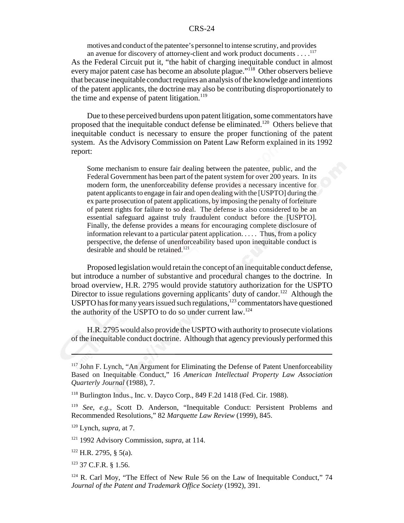motives and conduct of the patentee's personnel to intense scrutiny, and provides an avenue for discovery of attorney-client and work product documents . . . .<sup>117</sup>

As the Federal Circuit put it, "the habit of charging inequitable conduct in almost every major patent case has become an absolute plague."<sup>118</sup> Other observers believe that because inequitable conduct requires an analysis of the knowledge and intentions of the patent applicants, the doctrine may also be contributing disproportionately to the time and expense of patent litigation. $119$ 

Due to these perceived burdens upon patent litigation, some commentators have proposed that the inequitable conduct defense be eliminated.<sup>120</sup> Others believe that inequitable conduct is necessary to ensure the proper functioning of the patent system. As the Advisory Commission on Patent Law Reform explained in its 1992 report:

Some mechanism to ensure fair dealing between the patentee, public, and the Federal Government has been part of the patent system for over 200 years. In its modern form, the unenforceability defense provides a necessary incentive for patent applicants to engage in fair and open dealing with the [USPTO] during the ex parte prosecution of patent applications, by imposing the penalty of forfeiture of patent rights for failure to so deal. The defense is also considered to be an essential safeguard against truly fraudulent conduct before the [USPTO]. Finally, the defense provides a means for encouraging complete disclosure of information relevant to a particular patent application. . . . . Thus, from a policy perspective, the defense of unenforceability based upon inequitable conduct is desirable and should be retained.<sup>121</sup>

Proposed legislation would retain the concept of an inequitable conduct defense, but introduce a number of substantive and procedural changes to the doctrine. In broad overview, H.R. 2795 would provide statutory authorization for the USPTO Director to issue regulations governing applicants' duty of candor.<sup>122</sup> Although the USPTO has for many years issued such regulations, $123$  commentators have questioned the authority of the USPTO to do so under current law.<sup>124</sup>

H.R. 2795 would also provide the USPTO with authority to prosecute violations of the inequitable conduct doctrine. Although that agency previously performed this

<sup>&</sup>lt;sup>117</sup> John F. Lynch, "An Argument for Eliminating the Defense of Patent Unenforceability Based on Inequitable Conduct," 16 *American Intellectual Property Law Association Quarterly Journal* (1988), 7.

<sup>118</sup> Burlington Indus., Inc. v. Dayco Corp., 849 F.2d 1418 (Fed. Cir. 1988).

<sup>119</sup> *See, e.g.,* Scott D. Anderson, "Inequitable Conduct: Persistent Problems and Recommended Resolutions," 82 *Marquette Law Review* (1999), 845.

<sup>120</sup> Lynch, *supra*, at 7.

<sup>121 1992</sup> Advisory Commission, *supra*, at 114.

<sup>122</sup> H.R. 2795, § 5(a).

<sup>123 37</sup> C.F.R. § 1.56.

<sup>&</sup>lt;sup>124</sup> R. Carl Moy, "The Effect of New Rule 56 on the Law of Inequitable Conduct," 74 *Journal of the Patent and Trademark Office Society* (1992), 391.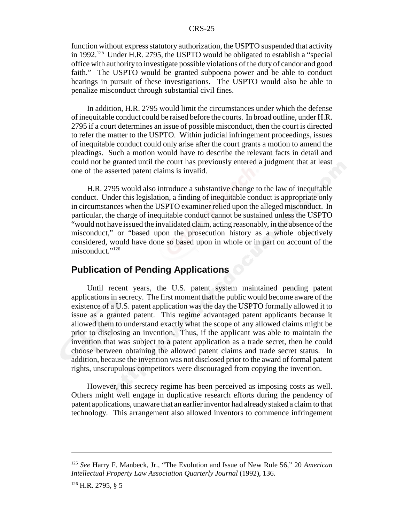function without express statutory authorization, the USPTO suspended that activity in 1992.<sup>125</sup> Under H.R. 2795, the USPTO would be obligated to establish a "special office with authority to investigate possible violations of the duty of candor and good faith." The USPTO would be granted subpoena power and be able to conduct hearings in pursuit of these investigations. The USPTO would also be able to penalize misconduct through substantial civil fines.

In addition, H.R. 2795 would limit the circumstances under which the defense of inequitable conduct could be raised before the courts. In broad outline, under H.R. 2795 if a court determines an issue of possible misconduct, then the court is directed to refer the matter to the USPTO. Within judicial infringement proceedings, issues of inequitable conduct could only arise after the court grants a motion to amend the pleadings. Such a motion would have to describe the relevant facts in detail and could not be granted until the court has previously entered a judgment that at least one of the asserted patent claims is invalid.

H.R. 2795 would also introduce a substantive change to the law of inequitable conduct. Under this legislation, a finding of inequitable conduct is appropriate only in circumstances when the USPTO examiner relied upon the alleged misconduct. In particular, the charge of inequitable conduct cannot be sustained unless the USPTO "would not have issued the invalidated claim, acting reasonably, in the absence of the misconduct," or "based upon the prosecution history as a whole objectively considered, would have done so based upon in whole or in part on account of the misconduct."<sup>126</sup>

# **Publication of Pending Applications**

Until recent years, the U.S. patent system maintained pending patent applications in secrecy. The first moment that the public would become aware of the existence of a U.S. patent application was the day the USPTO formally allowed it to issue as a granted patent. This regime advantaged patent applicants because it allowed them to understand exactly what the scope of any allowed claims might be prior to disclosing an invention. Thus, if the applicant was able to maintain the invention that was subject to a patent application as a trade secret, then he could choose between obtaining the allowed patent claims and trade secret status. In addition, because the invention was not disclosed prior to the award of formal patent rights, unscrupulous competitors were discouraged from copying the invention.

However, this secrecy regime has been perceived as imposing costs as well. Others might well engage in duplicative research efforts during the pendency of patent applications, unaware that an earlier inventor had already staked a claim to that technology. This arrangement also allowed inventors to commence infringement

<sup>125</sup> *See* Harry F. Manbeck, Jr., "The Evolution and Issue of New Rule 56," 20 *American Intellectual Property Law Association Quarterly Journal* (1992), 136.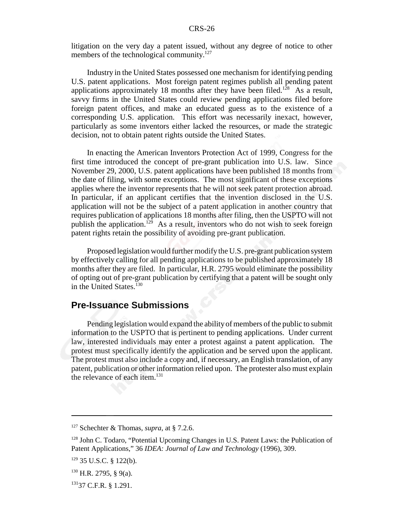litigation on the very day a patent issued, without any degree of notice to other members of the technological community.<sup>127</sup>

Industry in the United States possessed one mechanism for identifying pending U.S. patent applications. Most foreign patent regimes publish all pending patent applications approximately 18 months after they have been filed.<sup>128</sup> As a result, savvy firms in the United States could review pending applications filed before foreign patent offices, and make an educated guess as to the existence of a corresponding U.S. application. This effort was necessarily inexact, however, particularly as some inventors either lacked the resources, or made the strategic decision, not to obtain patent rights outside the United States.

In enacting the American Inventors Protection Act of 1999, Congress for the first time introduced the concept of pre-grant publication into U.S. law. Since November 29, 2000, U.S. patent applications have been published 18 months from the date of filing, with some exceptions. The most significant of these exceptions applies where the inventor represents that he will not seek patent protection abroad. In particular, if an applicant certifies that the invention disclosed in the U.S. application will not be the subject of a patent application in another country that requires publication of applications 18 months after filing, then the USPTO will not publish the application.<sup>129</sup> As a result, inventors who do not wish to seek foreign patent rights retain the possibility of avoiding pre-grant publication.

Proposed legislation would further modify the U.S. pre-grant publication system by effectively calling for all pending applications to be published approximately 18 months after they are filed. In particular, H.R. 2795 would eliminate the possibility of opting out of pre-grant publication by certifying that a patent will be sought only in the United States.<sup>130</sup>

### **Pre-Issuance Submissions**

Pending legislation would expand the ability of members of the public to submit information to the USPTO that is pertinent to pending applications. Under current law, interested individuals may enter a protest against a patent application. The protest must specifically identify the application and be served upon the applicant. The protest must also include a copy and, if necessary, an English translation, of any patent, publication or other information relied upon. The protester also must explain the relevance of each item.<sup>131</sup>

<sup>127</sup> Schechter & Thomas, *supra*, at § 7.2.6.

 $128$  John C. Todaro, "Potential Upcoming Changes in U.S. Patent Laws: the Publication of Patent Applications," 36 *IDEA: Journal of Law and Technology* (1996), 309.

 $129$  35 U.S.C. § 122(b).

 $130$  H.R. 2795, § 9(a).

<sup>13137</sup> C.F.R. § 1.291.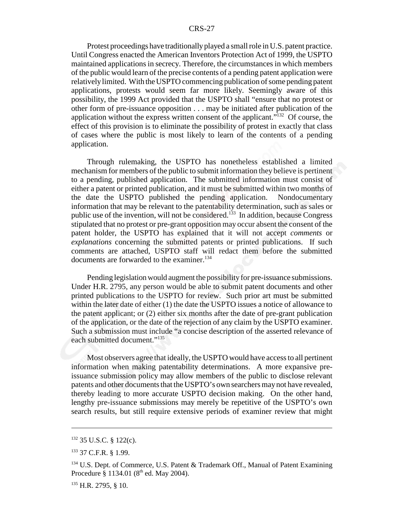Protest proceedings have traditionally played a small role in U.S. patent practice. Until Congress enacted the American Inventors Protection Act of 1999, the USPTO maintained applications in secrecy. Therefore, the circumstances in which members of the public would learn of the precise contents of a pending patent application were relatively limited. With the USPTO commencing publication of some pending patent applications, protests would seem far more likely. Seemingly aware of this possibility, the 1999 Act provided that the USPTO shall "ensure that no protest or other form of pre-issuance opposition . . . may be initiated after publication of the application without the express written consent of the applicant.<sup> $132$ </sup> Of course, the effect of this provision is to eliminate the possibility of protest in exactly that class of cases where the public is most likely to learn of the contents of a pending application.

Through rulemaking, the USPTO has nonetheless established a limited mechanism for members of the public to submit information they believe is pertinent to a pending, published application. The submitted information must consist of either a patent or printed publication, and it must be submitted within two months of the date the USPTO published the pending application. Nondocumentary information that may be relevant to the patentability determination, such as sales or public use of the invention, will not be considered.<sup>133</sup> In addition, because Congress stipulated that no protest or pre-grant opposition may occur absent the consent of the patent holder, the USPTO has explained that it will not accept *comments* or *explanations* concerning the submitted patents or printed publications. If such comments are attached, USPTO staff will redact them before the submitted documents are forwarded to the examiner.<sup>134</sup>

Pending legislation would augment the possibility for pre-issuance submissions. Under H.R. 2795, any person would be able to submit patent documents and other printed publications to the USPTO for review. Such prior art must be submitted within the later date of either (1) the date the USPTO issues a notice of allowance to the patent applicant; or (2) either six months after the date of pre-grant publication of the application, or the date of the rejection of any claim by the USPTO examiner. Such a submission must include "a concise description of the asserted relevance of each submitted document."<sup>135</sup>

Most observers agree that ideally, the USPTO would have access to all pertinent information when making patentability determinations. A more expansive preissuance submission policy may allow members of the public to disclose relevant patents and other documents that the USPTO's own searchers may not have revealed, thereby leading to more accurate USPTO decision making. On the other hand, lengthy pre-issuance submissions may merely be repetitive of the USPTO's own search results, but still require extensive periods of examiner review that might

<sup>132 35</sup> U.S.C. § 122(c).

<sup>133 37</sup> C.F.R. § 1.99.

<sup>&</sup>lt;sup>134</sup> U.S. Dept. of Commerce, U.S. Patent & Trademark Off., Manual of Patent Examining Procedure  $\frac{8}{9}$  1134.01 (8<sup>th</sup> ed. May 2004).

<sup>135</sup> H.R. 2795, § 10.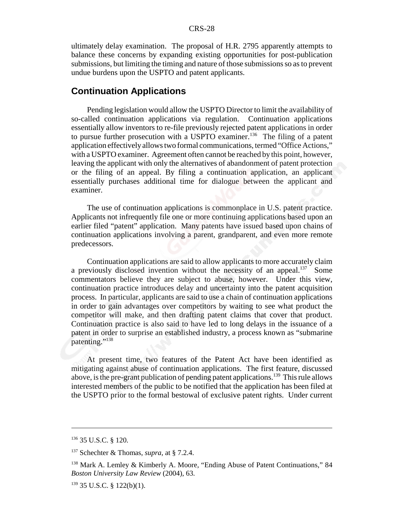ultimately delay examination. The proposal of H.R. 2795 apparently attempts to balance these concerns by expanding existing opportunities for post-publication submissions, but limiting the timing and nature of those submissions so as to prevent undue burdens upon the USPTO and patent applicants.

# **Continuation Applications**

Pending legislation would allow the USPTO Director to limit the availability of so-called continuation applications via regulation. Continuation applications essentially allow inventors to re-file previously rejected patent applications in order to pursue further prosecution with a USPTO examiner.<sup>136</sup> The filing of a patent application effectively allows two formal communications, termed "Office Actions," with a USPTO examiner. Agreement often cannot be reached by this point, however, leaving the applicant with only the alternatives of abandonment of patent protection or the filing of an appeal. By filing a continuation application, an applicant essentially purchases additional time for dialogue between the applicant and examiner.

The use of continuation applications is commonplace in U.S. patent practice. Applicants not infrequently file one or more continuing applications based upon an earlier filed "patent" application. Many patents have issued based upon chains of continuation applications involving a parent, grandparent, and even more remote predecessors.

Continuation applications are said to allow applicants to more accurately claim a previously disclosed invention without the necessity of an appeal.<sup>137</sup> Some commentators believe they are subject to abuse, however. Under this view, continuation practice introduces delay and uncertainty into the patent acquisition process. In particular, applicants are said to use a chain of continuation applications in order to gain advantages over competitors by waiting to see what product the competitor will make, and then drafting patent claims that cover that product. Continuation practice is also said to have led to long delays in the issuance of a patent in order to surprise an established industry, a process known as "submarine patenting."<sup>138</sup>

At present time, two features of the Patent Act have been identified as mitigating against abuse of continuation applications. The first feature, discussed above, is the pre-grant publication of pending patent applications.<sup>139</sup> This rule allows interested members of the public to be notified that the application has been filed at the USPTO prior to the formal bestowal of exclusive patent rights. Under current

<sup>136 35</sup> U.S.C. § 120.

<sup>137</sup> Schechter & Thomas, *supra*, at § 7.2.4.

<sup>138</sup> Mark A. Lemley & Kimberly A. Moore, "Ending Abuse of Patent Continuations," 84 *Boston University Law Review* (2004), 63.

<sup>139 35</sup> U.S.C. § 122(b)(1).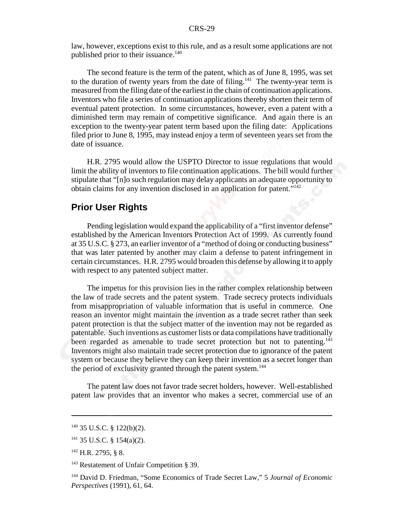law, however, exceptions exist to this rule, and as a result some applications are not published prior to their issuance.<sup>140</sup>

The second feature is the term of the patent, which as of June 8, 1995, was set to the duration of twenty years from the date of filing.<sup>141</sup> The twenty-year term is measured from the filing date of the earliest in the chain of continuation applications. Inventors who file a series of continuation applications thereby shorten their term of eventual patent protection. In some circumstances, however, even a patent with a diminished term may remain of competitive significance. And again there is an exception to the twenty-year patent term based upon the filing date: Applications filed prior to June 8, 1995, may instead enjoy a term of seventeen years set from the date of issuance.

H.R. 2795 would allow the USPTO Director to issue regulations that would limit the ability of inventors to file continuation applications. The bill would further stipulate that "[n]o such regulation may delay applicants an adequate opportunity to obtain claims for any invention disclosed in an application for patent."142

# **Prior User Rights**

Pending legislation would expand the applicability of a "first inventor defense" established by the American Inventors Protection Act of 1999. As currently found at 35 U.S.C. § 273, an earlier inventor of a "method of doing or conducting business" that was later patented by another may claim a defense to patent infringement in certain circumstances. H.R. 2795 would broaden this defense by allowing it to apply with respect to any patented subject matter.

The impetus for this provision lies in the rather complex relationship between the law of trade secrets and the patent system. Trade secrecy protects individuals from misappropriation of valuable information that is useful in commerce. One reason an inventor might maintain the invention as a trade secret rather than seek patent protection is that the subject matter of the invention may not be regarded as patentable. Such inventions as customer lists or data compilations have traditionally been regarded as amenable to trade secret protection but not to patenting.<sup>143</sup> Inventors might also maintain trade secret protection due to ignorance of the patent system or because they believe they can keep their invention as a secret longer than the period of exclusivity granted through the patent system.<sup>144</sup>

The patent law does not favor trade secret holders, however. Well-established patent law provides that an inventor who makes a secret, commercial use of an

 $140$  35 U.S.C. § 122(b)(2).

<sup>141 35</sup> U.S.C. § 154(a)(2).

<sup>142</sup> H.R. 2795, § 8.

<sup>&</sup>lt;sup>143</sup> Restatement of Unfair Competition § 39.

<sup>144</sup> David D. Friedman, "Some Economics of Trade Secret Law," 5 *Journal of Economic Perspectives* (1991), 61, 64.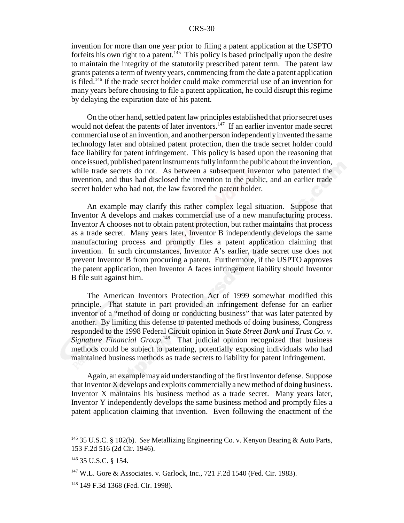invention for more than one year prior to filing a patent application at the USPTO forfeits his own right to a patent.<sup>145</sup> This policy is based principally upon the desire to maintain the integrity of the statutorily prescribed patent term. The patent law grants patents a term of twenty years, commencing from the date a patent application is filed.146 If the trade secret holder could make commercial use of an invention for many years before choosing to file a patent application, he could disrupt this regime by delaying the expiration date of his patent.

On the other hand, settled patent law principles established that prior secret uses would not defeat the patents of later inventors.<sup>147</sup> If an earlier inventor made secret commercial use of an invention, and another person independently invented the same technology later and obtained patent protection, then the trade secret holder could face liability for patent infringement. This policy is based upon the reasoning that once issued, published patent instruments fully inform the public about the invention, while trade secrets do not. As between a subsequent inventor who patented the invention, and thus had disclosed the invention to the public, and an earlier trade secret holder who had not, the law favored the patent holder.

An example may clarify this rather complex legal situation. Suppose that Inventor A develops and makes commercial use of a new manufacturing process. Inventor A chooses not to obtain patent protection, but rather maintains that process as a trade secret. Many years later, Inventor B independently develops the same manufacturing process and promptly files a patent application claiming that invention. In such circumstances, Inventor A's earlier, trade secret use does not prevent Inventor B from procuring a patent. Furthermore, if the USPTO approves the patent application, then Inventor A faces infringement liability should Inventor B file suit against him.

The American Inventors Protection Act of 1999 somewhat modified this principle. That statute in part provided an infringement defense for an earlier inventor of a "method of doing or conducting business" that was later patented by another. By limiting this defense to patented methods of doing business, Congress responded to the 1998 Federal Circuit opinion in *State Street Bank and Trust Co. v.* Signature Financial Group.<sup>148</sup> That judicial opinion recognized that business methods could be subject to patenting, potentially exposing individuals who had maintained business methods as trade secrets to liability for patent infringement.

Again, an example may aid understanding of the first inventor defense. Suppose that Inventor X develops and exploits commercially a new method of doing business. Inventor X maintains his business method as a trade secret. Many years later, Inventor Y independently develops the same business method and promptly files a patent application claiming that invention. Even following the enactment of the

<sup>145 35</sup> U.S.C. § 102(b). *See* Metallizing Engineering Co. v. Kenyon Bearing & Auto Parts, 153 F.2d 516 (2d Cir. 1946).

<sup>146 35</sup> U.S.C. § 154.

<sup>147</sup> W.L. Gore & Associates. v. Garlock, Inc*.*, 721 F.2d 1540 (Fed. Cir. 1983).

<sup>148 149</sup> F.3d 1368 (Fed. Cir. 1998).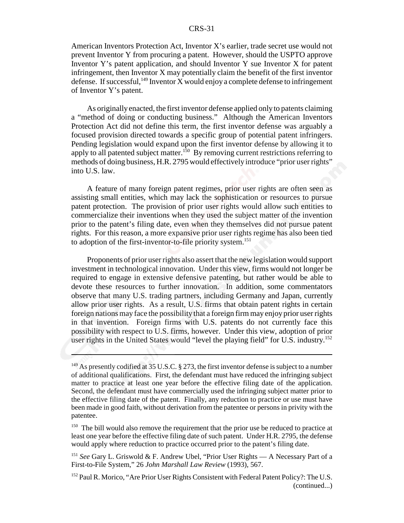American Inventors Protection Act, Inventor X's earlier, trade secret use would not prevent Inventor Y from procuring a patent. However, should the USPTO approve Inventor Y's patent application, and should Inventor Y sue Inventor X for patent infringement, then Inventor X may potentially claim the benefit of the first inventor defense. If successful,  $^{149}$  Inventor X would enjoy a complete defense to infringement of Inventor Y's patent.

As originally enacted, the first inventor defense applied only to patents claiming a "method of doing or conducting business." Although the American Inventors Protection Act did not define this term, the first inventor defense was arguably a focused provision directed towards a specific group of potential patent infringers. Pending legislation would expand upon the first inventor defense by allowing it to apply to all patented subject matter.<sup>150</sup> By removing current restrictions referring to methods of doing business, H.R. 2795 would effectively introduce "prior user rights" into U.S. law.

A feature of many foreign patent regimes, prior user rights are often seen as assisting small entities, which may lack the sophistication or resources to pursue patent protection. The provision of prior user rights would allow such entities to commercialize their inventions when they used the subject matter of the invention prior to the patent's filing date, even when they themselves did not pursue patent rights. For this reason, a more expansive prior user rights regime has also been tied to adoption of the first-inventor-to-file priority system.<sup>151</sup>

Proponents of prior user rights also assert that the new legislation would support investment in technological innovation. Under this view, firms would not longer be required to engage in extensive defensive patenting, but rather would be able to devote these resources to further innovation. In addition, some commentators observe that many U.S. trading partners, including Germany and Japan, currently allow prior user rights. As a result, U.S. firms that obtain patent rights in certain foreign nations may face the possibility that a foreign firm may enjoy prior user rights in that invention. Foreign firms with U.S. patents do not currently face this possibility with respect to U.S. firms, however. Under this view, adoption of prior user rights in the United States would "level the playing field" for U.S. industry.<sup>152</sup>

 $149$  As presently codified at 35 U.S.C. § 273, the first inventor defense is subject to a number of additional qualifications. First, the defendant must have reduced the infringing subject matter to practice at least one year before the effective filing date of the application. Second, the defendant must have commercially used the infringing subject matter prior to the effective filing date of the patent. Finally, any reduction to practice or use must have been made in good faith, without derivation from the patentee or persons in privity with the patentee.

<sup>&</sup>lt;sup>150</sup> The bill would also remove the requirement that the prior use be reduced to practice at least one year before the effective filing date of such patent. Under H.R. 2795, the defense would apply where reduction to practice occurred prior to the patent's filing date.

<sup>151</sup> *See* Gary L. Griswold & F. Andrew Ubel, "Prior User Rights — A Necessary Part of a First-to-File System," 26 *John Marshall Law Review* (1993), 567.

<sup>&</sup>lt;sup>152</sup> Paul R. Morico, "Are Prior User Rights Consistent with Federal Patent Policy?: The U.S. (continued...)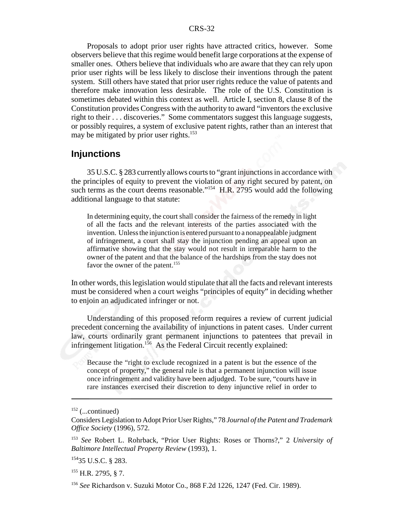Proposals to adopt prior user rights have attracted critics, however. Some observers believe that this regime would benefit large corporations at the expense of smaller ones. Others believe that individuals who are aware that they can rely upon prior user rights will be less likely to disclose their inventions through the patent system. Still others have stated that prior user rights reduce the value of patents and therefore make innovation less desirable. The role of the U.S. Constitution is sometimes debated within this context as well. Article I, section 8, clause 8 of the Constitution provides Congress with the authority to award "inventors the exclusive right to their . . . discoveries." Some commentators suggest this language suggests, or possibly requires, a system of exclusive patent rights, rather than an interest that may be mitigated by prior user rights.<sup>153</sup>

# **Injunctions**

35 U.S.C. § 283 currently allows courts to "grant injunctions in accordance with the principles of equity to prevent the violation of any right secured by patent, on such terms as the court deems reasonable."<sup>154</sup> H.R. 2795 would add the following additional language to that statute:

In determining equity, the court shall consider the fairness of the remedy in light of all the facts and the relevant interests of the parties associated with the invention. Unless the injunction is entered pursuant to a nonappealable judgment of infringement, a court shall stay the injunction pending an appeal upon an affirmative showing that the stay would not result in irreparable harm to the owner of the patent and that the balance of the hardships from the stay does not favor the owner of the patent.<sup>155</sup>

In other words, this legislation would stipulate that all the facts and relevant interests must be considered when a court weighs "principles of equity" in deciding whether to enjoin an adjudicated infringer or not.

Understanding of this proposed reform requires a review of current judicial precedent concerning the availability of injunctions in patent cases. Under current law, courts ordinarily grant permanent injunctions to patentees that prevail in infringement litigation.<sup>156</sup> As the Federal Circuit recently explained:

Because the "right to exclude recognized in a patent is but the essence of the concept of property," the general rule is that a permanent injunction will issue once infringement and validity have been adjudged. To be sure, "courts have in rare instances exercised their discretion to deny injunctive relief in order to

15435 U.S.C. § 283.

 $155$  H.R. 2795, § 7.

 $152$  (...continued)

Considers Legislation to Adopt Prior User Rights," 78 *Journal of the Patent and Trademark Office Society* (1996), 572.

<sup>153</sup> *See* Robert L. Rohrback, "Prior User Rights: Roses or Thorns?," 2 *University of Baltimore Intellectual Property Review* (1993), 1.

<sup>156</sup> *See* Richardson v. Suzuki Motor Co., 868 F.2d 1226, 1247 (Fed. Cir. 1989).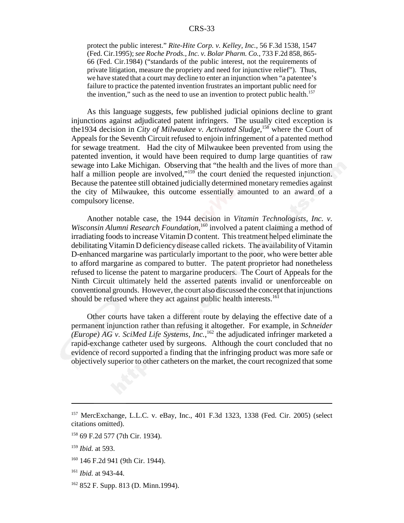protect the public interest." *Rite-Hite Corp. v. Kelley, Inc.,* 56 F.3d 1538, 1547 (Fed. Cir.1995); *see Roche Prods., Inc. v. Bolar Pharm. Co.,* 733 F.2d 858, 865- 66 (Fed. Cir.1984) ("standards of the public interest, not the requirements of private litigation, measure the propriety and need for injunctive relief"). Thus, we have stated that a court may decline to enter an injunction when "a patentee's failure to practice the patented invention frustrates an important public need for the invention," such as the need to use an invention to protect public health.<sup>157</sup>

As this language suggests, few published judicial opinions decline to grant injunctions against adjudicated patent infringers. The usually cited exception is the1934 decision in *City of Milwaukee v. Activated Sludge*, 158 where the Court of Appeals for the Seventh Circuit refused to enjoin infringement of a patented method for sewage treatment. Had the city of Milwaukee been prevented from using the patented invention, it would have been required to dump large quantities of raw sewage into Lake Michigan. Observing that "the health and the lives of more than half a million people are involved,"<sup>159</sup> the court denied the requested injunction. Because the patentee still obtained judicially determined monetary remedies against the city of Milwaukee, this outcome essentially amounted to an award of a compulsory license.

Another notable case, the 1944 decision in *Vitamin Technologists, Inc. v.* Wisconsin Alumni Research Foundation,<sup>160</sup> involved a patent claiming a method of irradiating foods to increase Vitamin D content. This treatment helped eliminate the debilitating Vitamin D deficiency disease called rickets. The availability of Vitamin D-enhanced margarine was particularly important to the poor, who were better able to afford margarine as compared to butter. The patent proprietor had nonetheless refused to license the patent to margarine producers. The Court of Appeals for the Ninth Circuit ultimately held the asserted patents invalid or unenforceable on conventional grounds. However, the court also discussed the concept that injunctions should be refused where they act against public health interests.<sup>161</sup>

Other courts have taken a different route by delaying the effective date of a permanent injunction rather than refusing it altogether. For example, in *Schneider (Europe) AG v. SciMed Life Systems, Inc.*, 162 the adjudicated infringer marketed a rapid-exchange catheter used by surgeons. Although the court concluded that no evidence of record supported a finding that the infringing product was more safe or objectively superior to other catheters on the market, the court recognized that some

- 160 146 F.2d 941 (9th Cir. 1944).
- <sup>161</sup> *Ibid.* at 943-44.
- $162$  852 F. Supp. 813 (D. Minn. 1994).

<sup>157</sup> MercExchange, L.L.C. v. eBay, Inc., 401 F.3d 1323, 1338 (Fed. Cir. 2005) (select citations omitted).

<sup>158 69</sup> F.2d 577 (7th Cir. 1934).

<sup>159</sup> *Ibid.* at 593.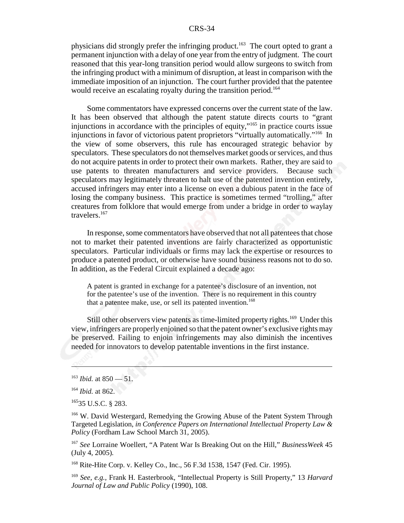physicians did strongly prefer the infringing product.<sup>163</sup> The court opted to grant a permanent injunction with a delay of one year from the entry of judgment. The court reasoned that this year-long transition period would allow surgeons to switch from the infringing product with a minimum of disruption, at least in comparison with the immediate imposition of an injunction. The court further provided that the patentee would receive an escalating royalty during the transition period.<sup>164</sup>

Some commentators have expressed concerns over the current state of the law. It has been observed that although the patent statute directs courts to "grant injunctions in accordance with the principles of equity,"165 in practice courts issue injunctions in favor of victorious patent proprietors "virtually automatically."166 In the view of some observers, this rule has encouraged strategic behavior by speculators. These speculators do not themselves market goods or services, and thus do not acquire patents in order to protect their own markets. Rather, they are said to use patents to threaten manufacturers and service providers. Because such speculators may legitimately threaten to halt use of the patented invention entirely, accused infringers may enter into a license on even a dubious patent in the face of losing the company business. This practice is sometimes termed "trolling," after creatures from folklore that would emerge from under a bridge in order to waylay travelers.<sup>167</sup>

In response, some commentators have observed that not all patentees that chose not to market their patented inventions are fairly characterized as opportunistic speculators. Particular individuals or firms may lack the expertise or resources to produce a patented product, or otherwise have sound business reasons not to do so. In addition, as the Federal Circuit explained a decade ago:

A patent is granted in exchange for a patentee's disclosure of an invention, not for the patentee's use of the invention. There is no requirement in this country that a patentee make, use, or sell its patented invention.<sup>168</sup>

Still other observers view patents as time-limited property rights.<sup>169</sup> Under this view, infringers are properly enjoined so that the patent owner's exclusive rights may be preserved. Failing to enjoin infringements may also diminish the incentives needed for innovators to develop patentable inventions in the first instance.

 $163$  *Ibid.* at 850 — 51.

<sup>164</sup> *Ibid.* at 862.

<sup>16535</sup> U.S.C. § 283.

<sup>&</sup>lt;sup>166</sup> W. David Westergard, Remedying the Growing Abuse of the Patent System Through Targeted Legislation, *in Conference Papers on International Intellectual Property Law & Policy* (Fordham Law School March 31, 2005).

<sup>167</sup> *See* Lorraine Woellert, "A Patent War Is Breaking Out on the Hill," *BusinessWeek* 45 (July 4, 2005)*.*

<sup>168</sup> Rite-Hite Corp. v. Kelley Co., Inc., 56 F.3d 1538, 1547 (Fed. Cir. 1995).

<sup>169</sup> *See, e.g.,* Frank H. Easterbrook, "Intellectual Property is Still Property," 13 *Harvard Journal of Law and Public Policy* (1990), 108.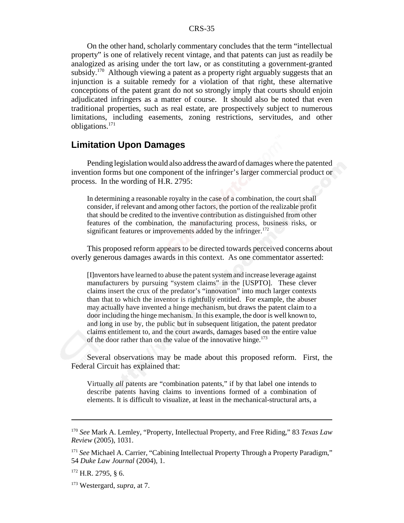On the other hand, scholarly commentary concludes that the term "intellectual property" is one of relatively recent vintage, and that patents can just as readily be analogized as arising under the tort law, or as constituting a government-granted subsidy.<sup>170</sup> Although viewing a patent as a property right arguably suggests that an injunction is a suitable remedy for a violation of that right, these alternative conceptions of the patent grant do not so strongly imply that courts should enjoin adjudicated infringers as a matter of course. It should also be noted that even traditional properties, such as real estate, are prospectively subject to numerous limitations, including easements, zoning restrictions, servitudes, and other obligations.171

# **Limitation Upon Damages**

Pending legislation would also address the award of damages where the patented invention forms but one component of the infringer's larger commercial product or process. In the wording of H.R. 2795:

In determining a reasonable royalty in the case of a combination, the court shall consider, if relevant and among other factors, the portion of the realizable profit that should be credited to the inventive contribution as distinguished from other features of the combination, the manufacturing process, business risks, or significant features or improvements added by the infringer.<sup>172</sup>

This proposed reform appears to be directed towards perceived concerns about overly generous damages awards in this context. As one commentator asserted:

[I]nventors have learned to abuse the patent system and increase leverage against manufacturers by pursuing "system claims" in the [USPTO]. These clever claims insert the crux of the predator's "innovation" into much larger contexts than that to which the inventor is rightfully entitled. For example, the abuser may actually have invented a hinge mechanism, but draws the patent claim to a door including the hinge mechanism. In this example, the door is well known to, and long in use by, the public but in subsequent litigation, the patent predator claims entitlement to, and the court awards, damages based on the entire value of the door rather than on the value of the innovative hinge. $173$ 

Several observations may be made about this proposed reform. First, the Federal Circuit has explained that:

Virtually *all* patents are "combination patents," if by that label one intends to describe patents having claims to inventions formed of a combination of elements. It is difficult to visualize, at least in the mechanical-structural arts, a

<sup>170</sup> *See* Mark A. Lemley, "Property, Intellectual Property, and Free Riding," 83 *Texas Law Review* (2005), 1031.

<sup>171</sup> *See* Michael A. Carrier, "Cabining Intellectual Property Through a Property Paradigm," 54 *Duke Law Journal* (2004), 1.

 $172$  H.R. 2795, § 6.

<sup>173</sup> Westergard, *supra*, at 7.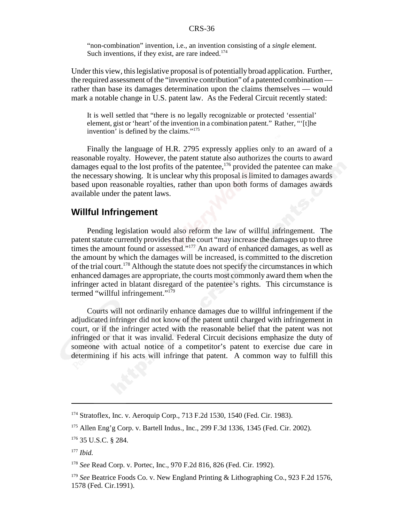"non-combination" invention, i.e., an invention consisting of a *single* element. Such inventions, if they exist, are rare indeed.<sup>174</sup>

Under this view, this legislative proposal is of potentially broad application. Further, the required assessment of the "inventive contribution" of a patented combination rather than base its damages determination upon the claims themselves — would mark a notable change in U.S. patent law. As the Federal Circuit recently stated:

It is well settled that "there is no legally recognizable or protected 'essential' element, gist or 'heart' of the invention in a combination patent." Rather, "'[t]he invention' is defined by the claims."175

Finally the language of H.R. 2795 expressly applies only to an award of a reasonable royalty. However, the patent statute also authorizes the courts to award damages equal to the lost profits of the patentee, $176$  provided the patentee can make the necessary showing. It is unclear why this proposal is limited to damages awards based upon reasonable royalties, rather than upon both forms of damages awards available under the patent laws.

# **Willful Infringement**

Pending legislation would also reform the law of willful infringement. The patent statute currently provides that the court "may increase the damages up to three times the amount found or assessed."<sup>177</sup> An award of enhanced damages, as well as the amount by which the damages will be increased, is committed to the discretion of the trial court.<sup>178</sup> Although the statute does not specify the circumstances in which enhanced damages are appropriate, the courts most commonly award them when the infringer acted in blatant disregard of the patentee's rights. This circumstance is termed "willful infringement."179

Courts will not ordinarily enhance damages due to willful infringement if the adjudicated infringer did not know of the patent until charged with infringement in court, or if the infringer acted with the reasonable belief that the patent was not infringed or that it was invalid. Federal Circuit decisions emphasize the duty of someone with actual notice of a competitor's patent to exercise due care in determining if his acts will infringe that patent. A common way to fulfill this

<sup>174</sup> Stratoflex, Inc. v. Aeroquip Corp., 713 F.2d 1530, 1540 (Fed. Cir. 1983).

<sup>175</sup> Allen Eng'g Corp. v. Bartell Indus., Inc., 299 F.3d 1336, 1345 (Fed. Cir. 2002).

<sup>176 35</sup> U.S.C. § 284.

<sup>177</sup> *Ibid.*

<sup>178</sup> *See* Read Corp. v. Portec, Inc., 970 F.2d 816, 826 (Fed. Cir. 1992).

<sup>&</sup>lt;sup>179</sup> *See* Beatrice Foods Co. v. New England Printing & Lithographing Co., 923 F.2d 1576, 1578 (Fed. Cir.1991).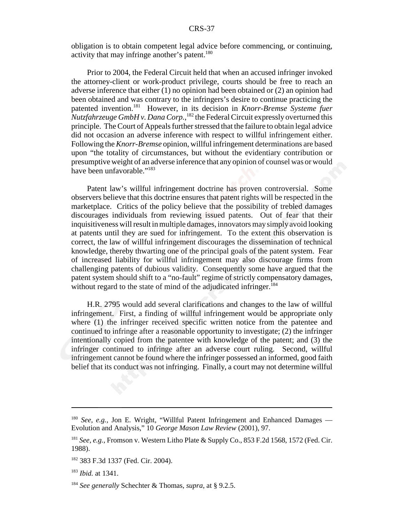obligation is to obtain competent legal advice before commencing, or continuing, activity that may infringe another's patent.<sup>180</sup>

Prior to 2004, the Federal Circuit held that when an accused infringer invoked the attorney-client or work-product privilege, courts should be free to reach an adverse inference that either (1) no opinion had been obtained or (2) an opinion had been obtained and was contrary to the infringers's desire to continue practicing the patented invention.181 However, in its decision in *Knorr-Bremse Systeme fuer Nutzfahrzeuge GmbH v. Dana Corp.*, 182 the Federal Circuit expressly overturned this principle. The Court of Appeals further stressed that the failure to obtain legal advice did not occasion an adverse inference with respect to willful infringement either. Following the *Knorr-Bremse* opinion, willful infringement determinations are based upon "the totality of circumstances, but without the evidentiary contribution or presumptive weight of an adverse inference that any opinion of counsel was or would have been unfavorable."<sup>183</sup>

Patent law's willful infringement doctrine has proven controversial. Some observers believe that this doctrine ensures that patent rights will be respected in the marketplace. Critics of the policy believe that the possibility of trebled damages discourages individuals from reviewing issued patents. Out of fear that their inquisitiveness will result in multiple damages, innovators may simply avoid looking at patents until they are sued for infringement. To the extent this observation is correct, the law of willful infringement discourages the dissemination of technical knowledge, thereby thwarting one of the principal goals of the patent system. Fear of increased liability for willful infringement may also discourage firms from challenging patents of dubious validity. Consequently some have argued that the patent system should shift to a "no-fault" regime of strictly compensatory damages, without regard to the state of mind of the adjudicated infringer.<sup>184</sup>

H.R. 2795 would add several clarifications and changes to the law of willful infringement. First, a finding of willful infringement would be appropriate only where (1) the infringer received specific written notice from the patentee and continued to infringe after a reasonable opportunity to investigate; (2) the infringer intentionally copied from the patentee with knowledge of the patent; and (3) the infringer continued to infringe after an adverse court ruling. Second, willful infringement cannot be found where the infringer possessed an informed, good faith belief that its conduct was not infringing. Finally, a court may not determine willful

<sup>&</sup>lt;sup>180</sup> *See, e.g., Jon E. Wright, "Willful Patent Infringement and Enhanced Damages* — Evolution and Analysis," 10 *George Mason Law Review* (2001), 97.

<sup>181</sup> *See, e.g.,* Fromson v. Western Litho Plate & Supply Co., 853 F.2d 1568, 1572 (Fed. Cir. 1988).

<sup>182 383</sup> F.3d 1337 (Fed. Cir. 2004).

<sup>183</sup> *Ibid.* at 1341.

<sup>184</sup> *See generally* Schechter & Thomas, *supra*, at § 9.2.5.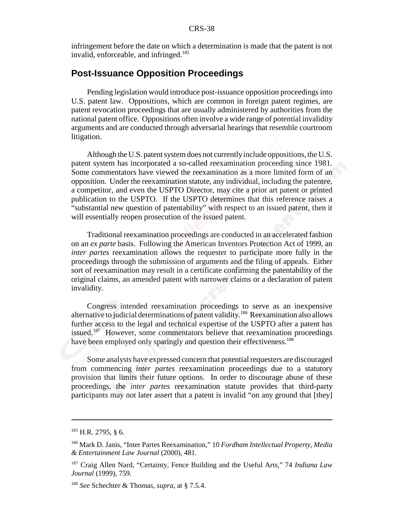infringement before the date on which a determination is made that the patent is not invalid, enforceable, and infringed.<sup>185</sup>

# **Post-Issuance Opposition Proceedings**

Pending legislation would introduce post-issuance opposition proceedings into U.S. patent law. Oppositions, which are common in foreign patent regimes, are patent revocation proceedings that are usually administered by authorities from the national patent office. Oppositions often involve a wide range of potential invalidity arguments and are conducted through adversarial hearings that resemble courtroom litigation.

Although the U.S. patent system does not currently include oppositions, the U.S. patent system has incorporated a so-called reexamination proceeding since 1981. Some commentators have viewed the reexamination as a more limited form of an opposition. Under the reexamination statute, any individual, including the patentee, a competitor, and even the USPTO Director, may cite a prior art patent or printed publication to the USPTO. If the USPTO determines that this reference raises a "substantial new question of patentability" with respect to an issued patent, then it will essentially reopen prosecution of the issued patent.

Traditional reexamination proceedings are conducted in an accelerated fashion on an *ex parte* basis. Following the American Inventors Protection Act of 1999, an *inter partes* reexamination allows the requester to participate more fully in the proceedings through the submission of arguments and the filing of appeals. Either sort of reexamination may result in a certificate confirming the patentability of the original claims, an amended patent with narrower claims or a declaration of patent invalidity.

Congress intended reexamination proceedings to serve as an inexpensive alternative to judicial determinations of patent validity.<sup>186</sup> Reexamination also allows further access to the legal and technical expertise of the USPTO after a patent has issued.<sup>187</sup> However, some commentators believe that reexamination proceedings have been employed only sparingly and question their effectiveness.<sup>188</sup>

Some analysts have expressed concern that potential requesters are discouraged from commencing *inter partes* reexamination proceedings due to a statutory provision that limits their future options. In order to discourage abuse of these proceedings, the *inter partes* reexamination statute provides that third-party participants may not later assert that a patent is invalid "on any ground that [they]

<sup>185</sup> H.R. 2795, § 6.

<sup>186</sup> Mark D. Janis, "Inter Partes Reexamination," 10 *Fordham Intellectual Property, Media & Entertainment Law Journal* (2000), 481.

<sup>187</sup> Craig Allen Nard, "Certainty, Fence Building and the Useful Arts," 74 *Indiana Law Journal* (1999), 759.

<sup>188</sup> *See* Schechter & Thomas, *supra*, at § 7.5.4.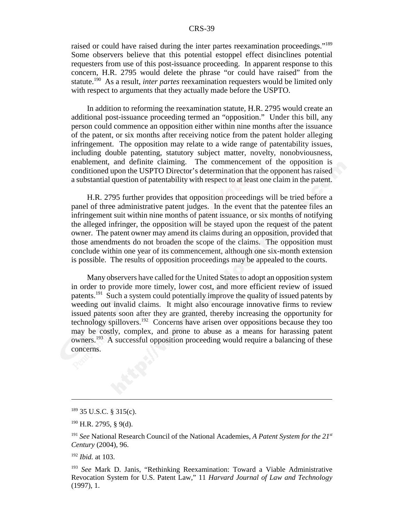raised or could have raised during the inter partes reexamination proceedings."<sup>189</sup> Some observers believe that this potential estoppel effect disinclines potential requesters from use of this post-issuance proceeding. In apparent response to this concern, H.R. 2795 would delete the phrase "or could have raised" from the statute.190 As a result, *inter partes* reexamination requesters would be limited only with respect to arguments that they actually made before the USPTO.

In addition to reforming the reexamination statute, H.R. 2795 would create an additional post-issuance proceeding termed an "opposition." Under this bill, any person could commence an opposition either within nine months after the issuance of the patent, or six months after receiving notice from the patent holder alleging infringement. The opposition may relate to a wide range of patentability issues, including double patenting, statutory subject matter, novelty, nonobviousness, enablement, and definite claiming. The commencement of the opposition is conditioned upon the USPTO Director's determination that the opponent has raised a substantial question of patentability with respect to at least one claim in the patent.

H.R. 2795 further provides that opposition proceedings will be tried before a panel of three administrative patent judges. In the event that the patentee files an infringement suit within nine months of patent issuance, or six months of notifying the alleged infringer, the opposition will be stayed upon the request of the patent owner. The patent owner may amend its claims during an opposition, provided that those amendments do not broaden the scope of the claims. The opposition must conclude within one year of its commencement, although one six-month extension is possible. The results of opposition proceedings may be appealed to the courts.

Many observers have called for the United States to adopt an opposition system in order to provide more timely, lower cost, and more efficient review of issued patents.191 Such a system could potentially improve the quality of issued patents by weeding out invalid claims. It might also encourage innovative firms to review issued patents soon after they are granted, thereby increasing the opportunity for technology spillovers.192 Concerns have arisen over oppositions because they too may be costly, complex, and prone to abuse as a means for harassing patent owners.193 A successful opposition proceeding would require a balancing of these concerns.

<sup>189 35</sup> U.S.C. § 315(c).

<sup>190</sup> H.R. 2795, § 9(d).

<sup>191</sup> *See* National Research Council of the National Academies, *A Patent System for the 21st Century* (2004), 96.

<sup>192</sup> *Ibid.* at 103.

<sup>193</sup> *See* Mark D. Janis, "Rethinking Reexamination: Toward a Viable Administrative Revocation System for U.S. Patent Law," 11 *Harvard Journal of Law and Technology* (1997), 1.